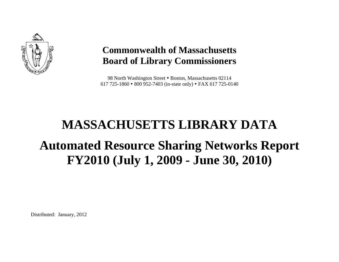

# **Commonwealth of Massachusetts Board of Library Commissioners**

98 North Washington Street • Boston, Massachusetts 02114 617 725-1860 800 952-7403 (in-state only) FAX 617 725-0140

# **MASSACHUSETTS LIBRARY DATAAutomated Resource Sharing Networks Report FY2010 (July 1, 2009 - June 30, 2010)**

Distributed: January, 2012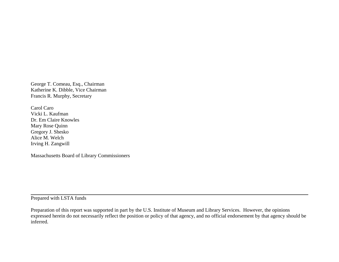George T. Comeau, Esq., Chairman Katherine K. Dibble, Vice Chairman Francis R. Murphy, Secretary

Carol Caro Vicki L. Kaufman Dr. Em Claire Knowles Mary Rose Quinn Gregory J. Shesko Alice M. Welch Irving H. Zangwill

Massachusetts Board of Library Commissioners

Prepared with LSTA funds

Preparation of this report was supported in part by the U.S. Institute of Museum and Library Services. However, the opinions expressed herein do not necessarily reflect the position or policy of that agency, and no official endorsement by that agency should be inferred.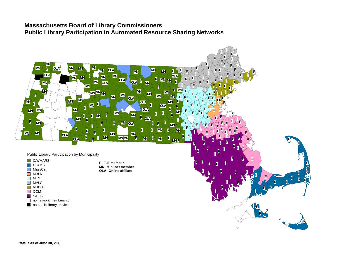#### **Massachusetts Board of Library Commissioners Public Library Participation in Automated Resource Sharing Networks**

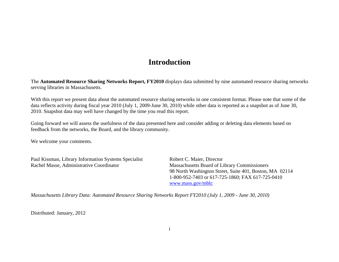#### **Introduction**

The **Automated Resource Sharing Networks Report, FY2010** displays data submitted by nine automated resource sharing networks serving libraries in Massachusetts.

With this report we present data about the automated resource sharing networks in one consistent format. Please note that some of the data reflects activity during fiscal year 2010 (July 1, 2009-June 30, 2010) while other data is reported as a snapshot as of June 30, 2010. Snapshot data may well have changed by the time you read this report.

Going forward we will assess the usefulness of the data presented here and consider adding or deleting data elements based on feedback from the networks, the Board, and the library community.

We welcome your comments.

Paul Kissman, Library Information Systems Specialist Robert C. Maier, Director Rachel Masse, Administrative Coordinator Massachusetts Board of Library Commissioners

 98 North Washington Street, Suite 401, Boston, MA 02114 1-800-952-7403 or 617-725-1860; FAX 617-725-0410 www.mass.gov/mblc

*Massachusetts Library Data: Automated Resource Sharing Networks Report FY2010 (July 1, 2009 - June 30, 2010)* 

Distributed: January, 2012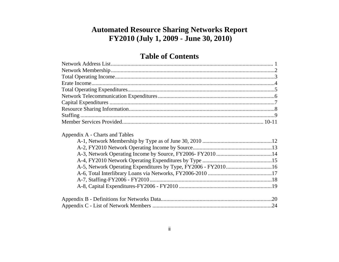# **Automated Resource Sharing Networks Report** FY2010 (July 1, 2009 - June 30, 2010)

### **Table of Contents**

| Appendix A - Charts and Tables |     |
|--------------------------------|-----|
|                                |     |
|                                |     |
|                                |     |
|                                |     |
|                                |     |
|                                |     |
|                                |     |
|                                | .20 |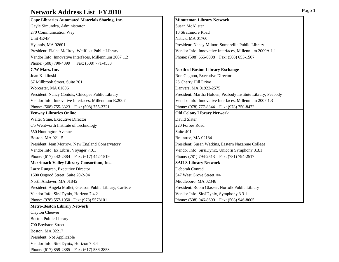#### **Network Address List FY2010**

| Cape Libraries Automated Materials Sharing, Inc.           | <b>Minuten</b>        |
|------------------------------------------------------------|-----------------------|
| Gayle Simundza, Administrator                              | Susan Mo              |
| 270 Communication Way                                      | 10 Strath             |
| Unit 4E/4F                                                 | Natick, M             |
| Hyannis, MA 02601                                          | President             |
| President: Elaine McIlroy, Wellfleet Public Library        | Vendor I              |
| Vendor Info: Innovative Interfaces, Millennium 2007 1.2    | Phone: (5             |
| Phone: (508) 790-4399<br>Fax: (508) 771-4533               |                       |
| C/W Mars, Inc.                                             | North of              |
| Joan Kuklinski                                             | Ron Gag               |
| 67 Millbrook Street, Suite 201                             | 26 Cherr              |
| Worcester, MA 01606                                        | Danvers,              |
| President: Nancy Contois, Chicopee Public Library          | President             |
| Vendor Info: Innovative Interfaces, Millennium R.2007      | Vendor I <sub>1</sub> |
| Phone: (508) 755-3323  Fax: (508) 755-3721                 | Phone: (9             |
| <b>Fenway Libraries Online</b>                             | <b>Old Cold</b>       |
| Walter Stine, Executive Director                           | David Sla             |
| c/o Wentworth Institute of Technology                      | 220 Forb              |
| 550 Huntington Avenue                                      | Suite 401             |
| Boston, MA 02115                                           | <b>Braintree</b>      |
| President: Jean Morrow, New England Conservatory           | President             |
| Vendor Info: Ex Libris, Voyager 7.0.1                      | Vendor I              |
| Phone: (617) 442-2384  Fax: (617) 442-1519                 | Phone: (7             |
| Merrimack Valley Library Consortium, Inc.                  | <b>SAILS L</b>        |
| Larry Rungren, Executive Director                          | Deborah               |
| 1600 Osgood Street, Suite 20-2-94                          | 547 West              |
| North Andover, MA 01845                                    | Middlebo              |
| President: Angela Mollet, Gleason Public Library, Carlisle | President             |
| Vendor Info: SirsiDynix, Horizon 7.4.2                     | Vendor In             |
| Phone: (978) 557-1050 Fax: (978) 5578101                   | Phone: (5             |
| <b>Metro-Boston Library Network</b>                        |                       |
| Clayton Cheever                                            |                       |
| <b>Boston Public Library</b>                               |                       |
| 700 Boylston Street                                        |                       |
| Boston, MA 02217                                           |                       |
| President: Not Applicable                                  |                       |
| Vendor Info: SirsiDynix, Horizon 7.3.4                     |                       |
| Phone: (617) 859-2385<br>Fax: (617) 536-2853               |                       |

#### **Minuteman Library Network** Susan McAlister 10 Strathmore Road Natick, MA 01760 President: Nancy Milnor, Somerville Public Library Vendor Info: Innovative Interfaces, Millennium 2009A 1.1 Phone: (508) 655-8008 Fax: (508) 655-1507 **North of Boston Library Exchange** Ron Gagnon, Executive Director 26 Cherry Hill Drive Danvers, MA 01923-2575 President: Martha Holden, Peabody Institute Library, Peabody Vendor Info: Innovative Interfaces, Millennium 2007 1.3 Phone: (978) 777-8844 Fax: (978) 750-8472 **Old Colony Library Network** David Slater 220 Forbes Road Braintree, MA 02184 President: Susan Watkins, Eastern Nazarene College Vendor Info: SirsiDynix, Unicorn Symphony 3.3.1 Phone: (781) 794-2513 Fax: (781) 794-2517 **Merrimack Valley Library Consortium, Inc. SAILS Library Network** Deborah Conrad 547 West Grove Street, #4 Middleboro, MA 02346 President: Robin Glasser, Norfolk Public Library Vendor Info: SirsiDynix, Symphony 3.3.1

Phone: (508) 946-8600 Fax: (508) 946-8605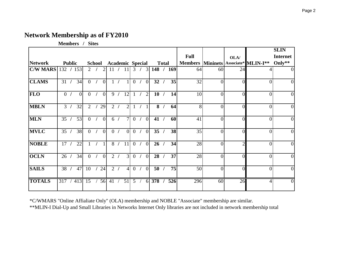#### **Network Membership as of FY2010**

**Members / Sites**

|                 |                  |               |          |                |               |                |                         |                |                 |                |                |                |     |              |                  |                |                |                |                                | <b>SLIN</b>     |
|-----------------|------------------|---------------|----------|----------------|---------------|----------------|-------------------------|----------------|-----------------|----------------|----------------|----------------|-----|--------------|------------------|----------------|----------------|----------------|--------------------------------|-----------------|
|                 |                  |               |          |                |               |                |                         |                |                 |                |                |                |     |              |                  | <b>Full</b>    |                | OLA/           |                                | <b>Internet</b> |
| <b>Network</b>  |                  | <b>Public</b> |          |                | <b>School</b> |                | <b>Academic Special</b> |                |                 |                |                |                |     | <b>Total</b> |                  | <b>Members</b> |                |                | Mininets   Associate* MLIN-I** | Only**          |
| <b>C/W MARS</b> | 132 / 153        |               |          | $\overline{2}$ |               | $\overline{2}$ | 11                      |                | 11              |                | 3 <sup>1</sup> | 3              | 148 |              | 169              | 64             | 60             | 24             |                                |                 |
| <b>CLAMS</b>    | 31               |               | 34       | $\overline{0}$ |               | $\theta$       |                         |                |                 | $\overline{0}$ |                | $\overline{0}$ | 32  |              | 35               | 32             | $\overline{0}$ | $\Omega$       | $\vert 0 \vert$                | 0               |
| <b>FLO</b>      | $\overline{0}$   |               | $\Omega$ | $\theta$       |               | $\overline{0}$ | 9                       |                | 12              |                |                | $\overline{2}$ | 10  |              | 14               | 10             | $\theta$       | $\Omega$       | $\Omega$                       | $\Omega$        |
| <b>MBLN</b>     | $\mathfrak{Z}$   |               | 32       | $\overline{2}$ |               | 29             |                         | 2 <sub>1</sub> | $\overline{2}$  |                |                |                | 8   |              | 64               | $\infty$       | $\theta$       | $\Omega$       | $\Omega$                       | 0               |
| <b>MLN</b>      | 35               |               | 53       | $\theta$       |               | $\overline{0}$ | 6/                      |                | $\overline{7}$  | $\overline{0}$ |                | $\theta$       | 41  |              | 60               | 41             | $\overline{0}$ | $\Omega$       | $\vert 0 \vert$                | $\Omega$        |
| <b>MVLC</b>     | 35               |               | 38       | $\overline{0}$ |               | $\overline{0}$ | $\overline{0}$          |                | $\Omega$        | $\overline{0}$ |                | $\theta$       | 35  |              | 38               | 35             | $\overline{0}$ | $\Omega$       | $\overline{0}$                 | $\Omega$        |
| <b>NOBLE</b>    | 17               |               | 22       |                |               |                | 8                       |                | 11              | $\theta$       |                | $\theta$       | 26  |              | 34               | 28             | $\theta$       | $\overline{2}$ | $\Omega$                       | $\Omega$        |
| <b>OCLN</b>     | 26               |               | 34       | $\overline{0}$ |               | $\overline{0}$ | $\overline{2}$          |                | 3 <sup>l</sup>  | $\overline{0}$ |                | $\theta$       | 28  |              | 37               | 28             | $\theta$       | $\Omega$       | $\Omega$                       | 0               |
| <b>SAILS</b>    | 38               |               | 47       | 10             |               | 24             |                         | 2 <sub>1</sub> | $\vert$         | $\overline{0}$ |                | $\theta$       | 50  |              | 75               | 50             | $\overline{0}$ | $\Omega$       | $\vert 0 \vert$                | $\Omega$        |
| <b>TOTALS</b>   | $\overline{317}$ |               | 413      | 15             |               | 56             | 41                      |                | $\overline{51}$ | 5 <sup>5</sup> |                | 6              | 378 |              | $\overline{526}$ | 296            | 60             | 26             | 4                              | $\Omega$        |

\*C/WMARS "Online Affialiate Only" (OLA) membership and NOBLE "Associate" membership are similar.

\*\*MLIN-I Dial-Up and Small Libraries in Networks Internet Only libraries are not included in network membership total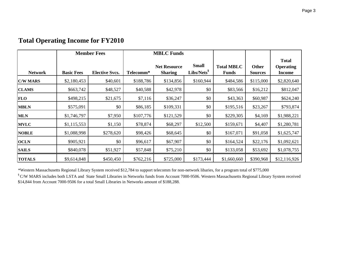#### **Network Basic Fees Elective Svcs. Telecomm\*Net Resource Sharing Small Libs/Nets§ Total MBLC FundsOther Sources Total Operating Income C/W MARS\$**2,180,453 \$40,601 \$188,786 \$134,856 \$160,944 \$484,586 \$115,000 \$2,820,640 **CLAMS\$** \$663,742 \$48,527 \$40,588 \$42,978 \$0 \$83,566 \$16,212 \$812,047 **FLO0** \$498,215 \$21,675 \$7,116 \$36,247 \$0 \$43,363 \$60,987 \$624,240 **MBLNN** \$575,091 \$0 \$06,185 \$109,331 \$0 \$195,516 \$23,267 \$793,874 **MLN81,746,797 | \$1,7950 | \$107,776 | \$121,529 | \$0 | \$229,305 | \$4,169 | \$1,988,221 MVLCc**  $\begin{array}{|l} \hline \text{S1,115,553} \\ \hline \text{S1,115,553} \end{array}$  \$1,150 \$78,874 \$68,297 \$12,500 \$159,671 \$4,407 \$1,280,781 **NOBLEE** \$1,088,998 \$278,620 \$98,426 \$68,645 \$0 \$167,071 \$91,058 \$1,625,747 **OCLNN** \$905,921 \$0 \$06,617 \$67,907 \$0 \$164,524 \$22,176 \$1,092,621 **SAILS\$840,078 \$51,927 \$57,848 \$75,210 \$0 \$133,058 \$53,692 \$1,078,755 TOTALS\$**9,614,848 \$450,450 \$762,216 \$725,000 \$173,444 \$1,660,660 \$390,968 \$12,116,926 **Member FeesMBLC Funds**

#### **Total Operating Income for FY2010**

\*Western Massachusetts Regional Library System received \$12,784 to support telecomm for non-network libaries, for a program total of \$775,000

<sup>§</sup> C/W MARS includes both LSTA and State Small Libraries in Networks funds from Account 7000-9506. Western Massachusetts Regional Library System received \$14,844 from Account 7000-9506 for a total Small Libraries in Networks amount of \$188,288.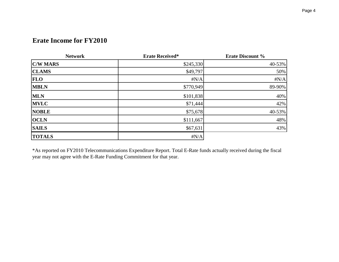#### **Erate Income for FY2010**

| <b>Network</b>  | <b>Erate Received*</b> | <b>Erate Discount %</b> |
|-----------------|------------------------|-------------------------|
| <b>C/W MARS</b> | \$245,330              | 40-53%                  |
| <b>CLAMS</b>    | \$49,797               | 50%                     |
| <b>FLO</b>      | $\sharp N/A$           | $\sharp N/A$            |
| <b>MBLN</b>     | \$770,949              | 89-90%                  |
| <b>MLN</b>      | \$101,838              | 40%                     |
| <b>MVLC</b>     | \$71,444               | 42%                     |
| <b>NOBLE</b>    | \$75,678               | 40-53%                  |
| <b>OCLN</b>     | \$111,667              | 48%                     |
| <b>SAILS</b>    | \$67,631               | 43%                     |
| <b>TOTALS</b>   | $\sharp N/A$           |                         |

\*As reported on FY2010 Telecommunications Expenditure Report. Total E-Rate funds actually received during the fiscal year may not agree with the E-Rate Funding Commitment for that year.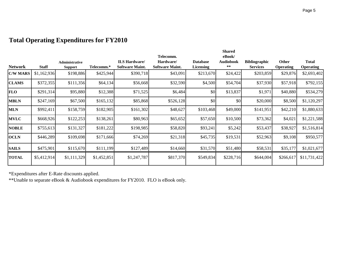|                 |              |                       |             |                        |                        |                  | <b>Shared</b>    |                      |                  |                  |
|-----------------|--------------|-----------------------|-------------|------------------------|------------------------|------------------|------------------|----------------------|------------------|------------------|
|                 |              |                       |             |                        | Telecomm.              |                  | eBook/           |                      |                  |                  |
|                 |              | <b>Administrative</b> |             | <b>ILS Hardware</b>    | Hardware/              | <b>Database</b>  | <b>Audiobook</b> | <b>Bibliographic</b> | <b>Other</b>     | <b>Total</b>     |
| <b>Network</b>  | <b>Staff</b> | <b>Support</b>        | Telecomm.*  | <b>Software Maint.</b> | <b>Software Maint.</b> | <b>Licensing</b> | **               | <b>Services</b>      | <b>Operating</b> | <b>Operating</b> |
| <b>C/W MARS</b> | \$1,162,936  | \$198,886             | \$425,944   | \$390,718              | \$43,091               | \$213,670        | \$24,422         | \$203,859            | \$29,876         | \$2,693,402      |
| <b>CLAMS</b>    | \$372,355    | \$111,356             | \$64,134    | \$56,668               | \$32,590               | \$4,500          | \$54,704         | \$37,930             | \$57,918         | \$792,155        |
| <b>FLO</b>      | \$291,314    | \$95,880              | \$12,388    | \$71,525               | \$6,484                | \$0              | \$13,837         | \$1,971              | \$40,880         | \$534,279        |
| <b>MBLN</b>     | \$247,169    | \$67,500              | \$165,132   | \$85,868               | \$526,128              | \$0              | \$0              | \$20,000             | \$8,500          | \$1,120,297      |
| <b>MLN</b>      | \$992,411    | \$158,759             | \$182,905   | \$161,302              | \$48,627               | \$103,468        | \$49,000         | \$141,951            | \$42,210         | \$1,880,633      |
| <b>MVLC</b>     | \$668,926    | \$122,253             | \$138,261   | \$80,963               | \$65,652               | \$57,650         | \$10,500         | \$73,362             | \$4,021          | \$1,221,588      |
| <b>NOBLE</b>    | \$755,613    | \$131,327             | \$181,222   | \$198,985              | \$58,820               | \$93,241         | \$5,242          | \$53,437             | \$38,927         | \$1,516,814      |
| <b>OCLN</b>     | \$446,289    | \$109,698             | \$171,666   | \$74,269               | \$21,318               | \$45,735         | \$19,531         | \$52,963             | \$9,108          | \$950,577        |
| <b>SAILS</b>    | \$475,901    | \$115,670             | \$111,199   | \$127,489              | \$14,660               | \$31,570         | \$51,480         | \$58,531             | \$35,177         | \$1,021,677      |
| <b>TOTAL</b>    | \$5,412,914  | \$1,111,329           | \$1,452,851 | \$1,247,787            | \$817,370              | \$549,834        | \$228,716        | \$644,004            | \$266,617        | \$11,731,422     |

### **Total Operating Expenditures for FY2010**

\*Expenditures after E-Rate discounts applied.

\*\*Unable to separate eBook & Audiobook expenditures for FY2010. FLO is eBook only.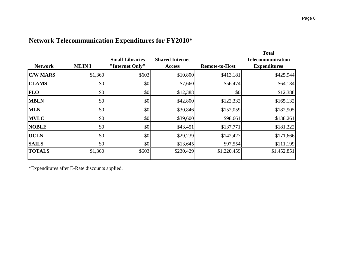| <b>Network</b>  | <b>MLINI</b> | <b>Small Libraries</b><br>"Internet Only" | <b>Shared Internet</b><br><b>Access</b> | <b>Remote-to-Host</b> | <b>Total</b><br><b>Telecommunication</b><br><b>Expenditures</b> |
|-----------------|--------------|-------------------------------------------|-----------------------------------------|-----------------------|-----------------------------------------------------------------|
| <b>C/W MARS</b> | \$1,360      | \$603                                     | \$10,800                                | \$413,181             | \$425,944                                                       |
| <b>CLAMS</b>    | \$0          | $ 10\rangle$                              | \$7,660                                 | \$56,474              | \$64,134                                                        |
| <b>FLO</b>      | \$0          | $ 10\rangle$                              | \$12,388                                | \$0                   | \$12,388                                                        |
| <b>MBLN</b>     | \$0          | \$0                                       | \$42,800                                | \$122,332             | \$165,132                                                       |
| <b>MLN</b>      | \$0          | \$0                                       | \$30,846                                | \$152,059             | \$182,905                                                       |
| <b>MVLC</b>     | \$0          | \$0                                       | \$39,600                                | \$98,661              | \$138,261                                                       |
| <b>NOBLE</b>    | \$0          | \$0                                       | \$43,451                                | \$137,771             | \$181,222                                                       |
| <b>OCLN</b>     | \$0          | \$0                                       | \$29,239                                | \$142,427             | \$171,666                                                       |
| <b>SAILS</b>    | \$0          | \$0                                       | \$13,645                                | \$97,554              | \$111,199                                                       |
| <b>TOTALS</b>   | \$1,360      | \$603                                     | \$230,429                               | \$1,220,459           | \$1,452,851                                                     |

### **Network Telecommunication Expenditures for FY2010\***

\*Expenditures after E-Rate discounts applied.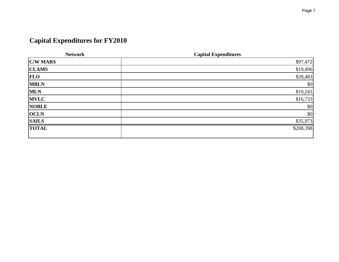# **Capital Expenditures for FY2010**

| <b>Network</b>  | <b>Capital Expenditures</b> |
|-----------------|-----------------------------|
| <b>C/W MARS</b> | \$97,472                    |
| <b>CLAMS</b>    | \$19,496                    |
| <b>FLO</b>      | \$28,483                    |
| <b>MBLN</b>     | \$0                         |
| <b>MLN</b>      | \$10,241                    |
| <b>MVLC</b>     | \$16,733                    |
| <b>NOBLE</b>    | \$0                         |
| <b>OCLN</b>     | \$0                         |
| <b>SAILS</b>    | \$35,973                    |
| <b>TOTAL</b>    | \$208,398                   |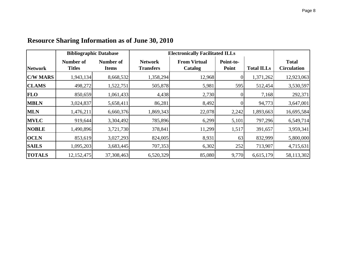|                 | <b>Bibliographic Database</b> |                           |                                    | <b>Electronically Facilitated ILLs</b> |                    |                   |                                    |
|-----------------|-------------------------------|---------------------------|------------------------------------|----------------------------------------|--------------------|-------------------|------------------------------------|
| <b>Network</b>  | Number of<br><b>Titles</b>    | Number of<br><b>Items</b> | <b>Network</b><br><b>Transfers</b> | <b>From Virtual</b><br>Catalog         | Point-to-<br>Point | <b>Total ILLs</b> | <b>Total</b><br><b>Circulation</b> |
| <b>C/W MARS</b> | 1,943,134                     | 8,668,532                 | 1,358,294                          | 12,968                                 |                    | 1,371,262         | 12,923,063                         |
| <b>CLAMS</b>    | 498,272                       | 1,522,751                 | 505,878                            | 5,981                                  | 595                | 512,454           | 3,530,597                          |
| <b>FLO</b>      | 850,659                       | 1,061,433                 | 4,438                              | 2,730                                  |                    | 7,168             | 292,371                            |
| <b>MBLN</b>     | 3,024,837                     | 5,658,411                 | 86,281                             | 8,492                                  |                    | 94,773            | 3,647,001                          |
| <b>MLN</b>      | 1,476,211                     | 6,660,376                 | 1,869,343                          | 22,078                                 | 2,242              | 1,893,663         | 16,695,584                         |
| <b>MVLC</b>     | 919,644                       | 3,304,492                 | 785,896                            | 6,299                                  | 5,101              | 797,296           | 6,549,714                          |
| <b>NOBLE</b>    | 1,490,896                     | 3,721,730                 | 378,841                            | 11,299                                 | 1,517              | 391,657           | 3,959,341                          |
| <b>OCLN</b>     | 853,619                       | 3,027,293                 | 824,005                            | 8,931                                  | 63                 | 832,999           | 5,800,000                          |
| <b>SAILS</b>    | 1,095,203                     | 3,683,445                 | 707,353                            | 6,302                                  | 252                | 713,907           | 4,715,631                          |
| <b>TOTALS</b>   | 12,152,475                    | 37,308,463                | 6,520,329                          | 85,080                                 | 9,770              | 6,615,179         | 58,113,302                         |

# **Resource Sharing Information as of June 30, 2010**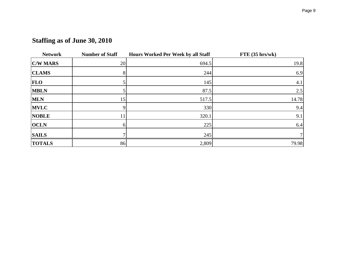| <b>Network</b>  | <b>Number of Staff</b> | Hours Worked Per Week by all Staff | FTE(35 hrs/wk) |
|-----------------|------------------------|------------------------------------|----------------|
| <b>C/W MARS</b> | 20                     | 694.5                              | 19.8           |
| <b>CLAMS</b>    | 8                      | 244                                | 6.9            |
| <b>FLO</b>      |                        | 145                                | 4.1            |
| <b>MBLN</b>     |                        | 87.5                               | 2.5            |
| <b>MLN</b>      | 15                     | 517.5                              | 14.78          |
| <b>MVLC</b>     | 9                      | 330                                | 9.4            |
| <b>NOBLE</b>    | 11                     | 320.1                              | 9.1            |
| <b>OCLN</b>     | 61                     | 225                                | 6.4            |
| <b>SAILS</b>    |                        | 245                                |                |
| <b>TOTALS</b>   | 86                     | 2,809                              | 79.98          |

# **Staffing as of June 30, 2010**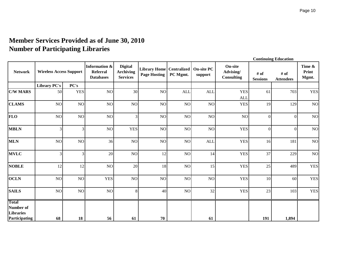### **Member Services Provided as of June 30, 2010 Number of Participating Libraries**

|                                                         | <b>Continuing Education</b>    |                |                                                                 |                                                       |                                                     |            |                              |                                                  |                         |                          |                          |  |  |  |
|---------------------------------------------------------|--------------------------------|----------------|-----------------------------------------------------------------|-------------------------------------------------------|-----------------------------------------------------|------------|------------------------------|--------------------------------------------------|-------------------------|--------------------------|--------------------------|--|--|--|
| <b>Network</b>                                          | <b>Wireless Access Support</b> |                | <b>Information &amp;</b><br><b>Referral</b><br><b>Databases</b> | <b>Digital</b><br><b>Archiving</b><br><b>Services</b> | Library Home   Centralized  <br><b>Page Hosting</b> | PC Mgmt.   | <b>On-site PC</b><br>support | <b>On-site</b><br>Advising/<br><b>Consulting</b> | # of<br><b>Sessions</b> | # of<br><b>Attendees</b> | Time &<br>Print<br>Mgmt. |  |  |  |
|                                                         | <b>Library PC's</b>            | PC's           |                                                                 |                                                       |                                                     |            |                              |                                                  |                         |                          |                          |  |  |  |
| <b>C/W MARS</b>                                         | 50                             | <b>YES</b>     | NO                                                              | 30                                                    | NO                                                  | <b>ALL</b> | <b>ALL</b>                   | <b>YES</b><br><b>ALL</b>                         | 61                      | 703                      | <b>YES</b>               |  |  |  |
| <b>CLAMS</b>                                            | $\rm NO$                       | NO             | $\rm NO$                                                        | NO                                                    | NO                                                  | NO         | NO                           | <b>YES</b>                                       | 19                      | 129                      | $\rm NO$                 |  |  |  |
| <b>FLO</b>                                              | NO                             | <b>NO</b>      | $\rm NO$                                                        | 3                                                     | $\rm NO$                                            | NO         | NO                           | N <sub>O</sub>                                   | $\overline{0}$          | $\theta$                 | $\rm NO$                 |  |  |  |
| <b>MBLN</b>                                             | 3                              | $\overline{3}$ | NO                                                              | <b>YES</b>                                            | $\rm NO$                                            | NO         | NO                           | <b>YES</b>                                       | $\overline{0}$          | $\overline{0}$           | NO                       |  |  |  |
| <b>MLN</b>                                              | NO                             | NO             | 36                                                              | NO                                                    | NO                                                  | NO         | <b>ALI</b>                   | <b>YES</b>                                       | 16                      | 181                      | NO                       |  |  |  |
| <b>MVLC</b>                                             | 3                              | 3              | 20                                                              | NO                                                    | 12                                                  | NO         | 14                           | <b>YES</b>                                       | 37                      | 229                      | NO                       |  |  |  |
| <b>NOBLE</b>                                            | 12                             | 12             | N <sub>O</sub>                                                  | 20                                                    | 18                                                  | NO         | 15                           | <b>YES</b>                                       | 25                      | 489                      | <b>YES</b>               |  |  |  |
| <b>OCLN</b>                                             | $\rm NO$                       | NO             | <b>YES</b>                                                      | NO                                                    | NO                                                  | NO         | NO                           | <b>YES</b>                                       | 10                      | 60                       | <b>YES</b>               |  |  |  |
| <b>SAILS</b>                                            | NO                             | NO             | $\rm NO$                                                        | 8                                                     | 40                                                  | NO         | 32                           | <b>YES</b>                                       | 23                      | 103                      | <b>YES</b>               |  |  |  |
| <b>Total</b><br>Number of<br>Libraries<br>Participating | 68                             | 18             | 56                                                              | 61                                                    | 70                                                  |            | 61                           |                                                  | 191                     | 1,894                    |                          |  |  |  |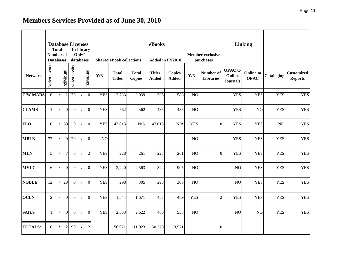# **Members Services Provided as of June 30, 2010**

|                 |                | <b>Database Licenses</b><br><b>Total</b><br><b>Number of</b><br><b>Databases</b> |                | "In-library<br>databases | Only"      |                 |                         | <b>Shared eBook collections</b> |                               | eBooks<br>Added in FY2010     |                               | <b>Linking</b>  |                               |                                             |                                 |            |                                     |
|-----------------|----------------|----------------------------------------------------------------------------------|----------------|--------------------------|------------|-----------------|-------------------------|---------------------------------|-------------------------------|-------------------------------|-------------------------------|-----------------|-------------------------------|---------------------------------------------|---------------------------------|------------|-------------------------------------|
| <b>Network</b>  | Networkwide    |                                                                                  | Individual     | Networkwide              |            | Individual      | $\mathbf{Y}/\mathbf{N}$ | <b>Total</b><br><b>Titles</b>   | <b>Total</b><br><b>Copies</b> | <b>Titles</b><br><b>Added</b> | <b>Copies</b><br><b>Added</b> | Y/N             | Number of<br><b>Libraries</b> | <b>OPAC</b> to<br>Online<br><b>Journals</b> | <b>Online to</b><br><b>OPAC</b> | Cataloging | <b>Customized</b><br><b>Reports</b> |
| <b>C/W MARS</b> | 6              |                                                                                  |                | 70                       |            | 0               | <b>YES</b>              | 2,783                           | 3,039                         | 505                           | 588                           | N <sub>O</sub>  |                               | <b>YES</b>                                  | <b>YES</b>                      | <b>YES</b> | <b>YES</b>                          |
| <b>CLAMS</b>    | $\mathbf{1}$   | $\sqrt{2}$                                                                       | $\overline{0}$ | $\overline{0}$           | $\sqrt{2}$ | $\Omega$        | <b>YES</b>              | 562                             | 562                           | 485                           | 485                           | NO              |                               | <b>YES</b>                                  | NO                              | <b>YES</b> | <b>YES</b>                          |
| <b>FLO</b>      | $\Omega$       | $\sqrt{2}$                                                                       | 69             | $\overline{0}$           | $\sqrt{ }$ | 0               | <b>YES</b>              | 47,013                          | N/A                           | 47,013                        | N/A                           | <b>YES</b>      | 8                             | <b>YES</b>                                  | <b>YES</b>                      | NO         | <b>YES</b>                          |
| <b>MBLN</b>     | 72             | $\sqrt{2}$                                                                       | $\overline{0}$ | 20                       | $\sqrt{2}$ | $\vert 0 \vert$ | NO                      |                                 |                               |                               |                               | NO              |                               | <b>YES</b>                                  | <b>YES</b>                      | <b>YES</b> | <b>YES</b>                          |
| <b>MLN</b>      | 5              | $\prime$                                                                         | $\tau$         | $\overline{0}$           | $\sqrt{ }$ | $\overline{2}$  | <b>YES</b>              | 228                             | 261                           | 228                           | 261                           | NO              | $\overline{0}$                | <b>YES</b>                                  | <b>YES</b>                      | <b>YES</b> | <b>YES</b>                          |
| <b>MVLC</b>     | 6              |                                                                                  | $\Omega$       | $\overline{0}$           | $\sqrt{ }$ | $\vert 0 \vert$ | <b>YES</b>              | 2,240                           | 2,563                         | 824                           | 905                           | NO <sub>1</sub> |                               | NO                                          | <b>YES</b>                      | <b>YES</b> | <b>YES</b>                          |
| <b>NOBLE</b>    | 12             |                                                                                  | 28             | $\overline{0}$           | $\sqrt{2}$ | $\overline{0}$  | <b>YES</b>              | 298                             | 305                           | 298                           | 305                           | NO              |                               | NO                                          | <b>YES</b>                      | <b>YES</b> | <b>YES</b>                          |
| <b>OCLN</b>     | $\overline{2}$ |                                                                                  | $\Omega$       | $\overline{0}$           | $\sqrt{2}$ | $\overline{0}$  | <b>YES</b>              | 1,544                           | 1,671                         | 457                           | 489                           | <b>YES</b>      | $\overline{2}$                | <b>YES</b>                                  | <b>YES</b>                      | <b>YES</b> | <b>YES</b>                          |
| <b>SAILS</b>    | $\mathbf{1}$   | $\sqrt{2}$                                                                       | $\overline{0}$ | $\overline{0}$           | $\sqrt{2}$ | $\overline{0}$  | <b>YES</b>              | 2,303                           | 2,622                         | 460                           | 538                           | NO <sub>1</sub> |                               | NO                                          | NO                              | <b>YES</b> | <b>YES</b>                          |
| <b>TOTALS:</b>  | $\Omega$       | $\prime$                                                                         | $\overline{2}$ | 90                       | $\prime$   | $\overline{2}$  |                         | 56,971                          | 11,023                        | 50,270                        | 3,571                         |                 | 10                            |                                             |                                 |            |                                     |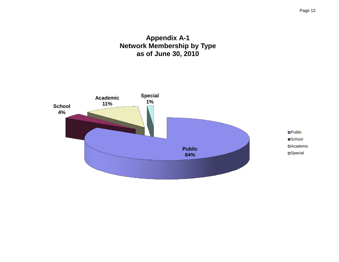#### **Appendix A-1 Network Membership by Type as of June 30, 2010**

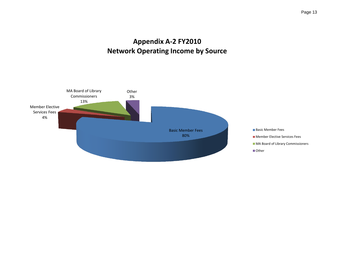## **Appendix A-2 FY2010 Network Operating Income by Source**

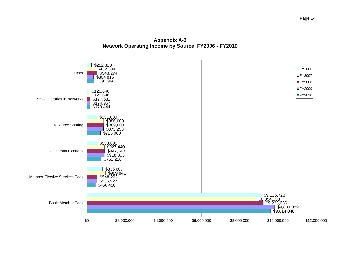**Appendix A-3 Network Operating Income by Source, FY2006 - FY2010**

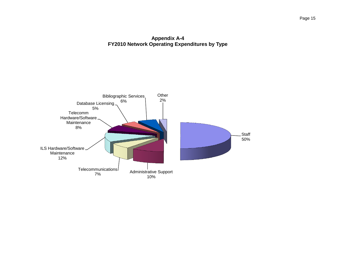#### **Appendix A-4 FY2010 Network Operating Expenditures by Type**

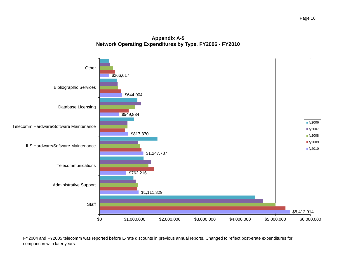



FY2004 and FY2005 telecomm was reported before E-rate discounts in previous annual reports. Changed to reflect post-erate expenditures for comparison with later years.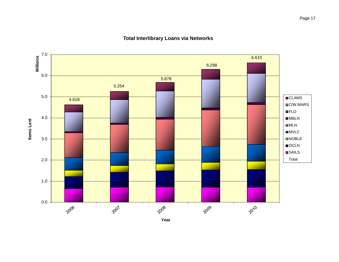

#### **Total Interlibrary Loans via Networks**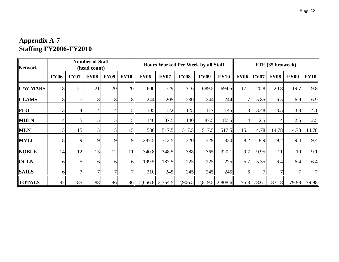### **Appendix A-7 Staffing FY2006-FY2010**

| <b>Network</b>  | <b>Number of Staff</b><br>(head count) |             |                |             | <b>Hours Worked Per Week by all Staff</b> |             |                   |             | FTE (35 hrs/week) |                 |                |             |             |                 |       |
|-----------------|----------------------------------------|-------------|----------------|-------------|-------------------------------------------|-------------|-------------------|-------------|-------------------|-----------------|----------------|-------------|-------------|-----------------|-------|
|                 | <b>FY06</b>                            | <b>FY07</b> | <b>FY08</b>    | <b>FY09</b> | <b>FY10</b>                               | <b>FY06</b> | <b>FY07</b>       | <b>FY08</b> | <b>FY09</b>       | <b>FY10</b>     | <b>FY06</b>    | <b>FY07</b> | <b>FY08</b> | <b>FY09</b>     | FY10  |
| <b>C/W MARS</b> | 18                                     | 21          | 21             | 20          | 20                                        | 600         | 729               | 716         | 689.5             | 694.5           | 17.1           | 20.8        | 20.8        | 19.7            | 19.8  |
| <b>CLAMS</b>    | 8                                      |             | 8              | 8           | 8 <sub>l</sub>                            | 244         | 205               | 230         | 244               | 244             |                | 5.85        | 6.5         | 6.9             | 6.9   |
| <b>FLO</b>      |                                        |             | $\overline{4}$ |             | 51                                        | 105         | 122               | 125         | 117               | 145             | $\overline{3}$ | 3.48        | 3.5         | 3.3             | 4.1   |
| <b>MBLN</b>     |                                        |             | 5              |             | $\mathsf{S}$                              | 140         | 87.5              | 140         | 87.5              | 87.5            |                | 2.5         |             | 2.5             | 2.5   |
| <b>MLN</b>      | 15                                     | 15          | 15             | 15          | 15 <sup>l</sup>                           | 530         | 517.5             | 517.5       | 517.5             | 517.5           | 15.1           | 14.78       | 14.78       | 14.78           | 14.78 |
| <b>MVLC</b>     | 8                                      | 9           | 9              | 9           | 9                                         | 287.5       | 312.5             | 320         | 329               | 330             | 8.2            | 8.9         | 9.2         | 9.4             | 9.4   |
| <b>NOBLE</b>    | 14                                     | 12          | 13             | 12          | 11                                        | 340.8       | 348.5             | 388         | 365               | 320.1           | 9.7            | 9.95        | 11          | 10 <sup>1</sup> | 9.1   |
| <b>OCLN</b>     | 6                                      |             | 6              | 6           | 6ll                                       | 199.5       | 187.5             | 225         | 225               | 225             | 5.7            | 5.35        | 6.4         | 6.4             | 6.4   |
| <b>SAILS</b>    | 6                                      |             | 7              |             | 71                                        | 210         | 245               | 245         | 245               | 245             | 6              |             |             |                 | 71    |
| <b>TOTALS</b>   | 82                                     | 85          | 88             | 86          | 86                                        |             | $2,656.8$ 2,754.5 | 2,906.5     |                   | 2,819.5 2,808.6 |                | 75.8 78.61  | 83.18       | 79.98           | 79.98 |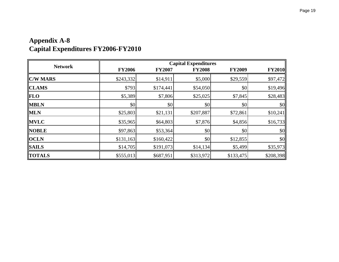### **Appendix A-8 Capital Expenditures FY2006-FY2010**

| <b>Network</b>  |               | <b>Capital Expenditures</b> |               |               |               |  |  |  |  |
|-----------------|---------------|-----------------------------|---------------|---------------|---------------|--|--|--|--|
|                 | <b>FY2006</b> | <b>FY2007</b>               | <b>FY2008</b> | <b>FY2009</b> | <b>FY2010</b> |  |  |  |  |
| <b>C/W MARS</b> | \$243,332     | \$14,911                    | \$5,000       | \$29,559      | \$97,472      |  |  |  |  |
| <b>CLAMS</b>    | \$793         | \$174,441                   | \$54,050      | \$0           | \$19,496      |  |  |  |  |
| <b>FLO</b>      | \$5,389       | \$7,806                     | \$25,025      | \$7,845       | \$28,483      |  |  |  |  |
| <b>MBLN</b>     | \$0           | $ $ \$0                     | \$0           | \$0           | \$0           |  |  |  |  |
| <b>MLN</b>      | \$25,803      | \$21,131                    | \$207,887     | \$72,861      | \$10,241      |  |  |  |  |
| <b>MVLC</b>     | \$35,965      | \$64,803                    | \$7,876       | \$4,856       | \$16,733      |  |  |  |  |
| <b>NOBLE</b>    | \$97,863      | \$53,364                    | \$0           | \$0           | \$0           |  |  |  |  |
| <b>OCLN</b>     | \$131,163     | \$160,422                   | \$0           | \$12,855      | \$0           |  |  |  |  |
| <b>SAILS</b>    | \$14,705      | \$191,073                   | \$14,134      | \$5,499       | \$35,973      |  |  |  |  |
| <b>TOTALS</b>   | \$555,013     | \$687,951                   | \$313,972     | \$133,475     | \$208,398     |  |  |  |  |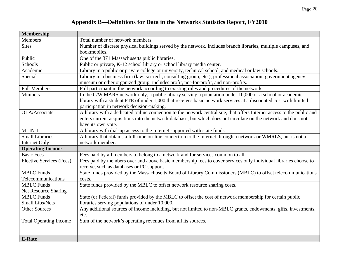### **Appendix B—Definitions for Data in the Networks Statistics Report, FY2010**

| <b>Membership</b>             |                                                                                                                         |
|-------------------------------|-------------------------------------------------------------------------------------------------------------------------|
| <b>Members</b>                | Total number of network members.                                                                                        |
| <b>Sites</b>                  | Number of discrete physical buildings served by the network. Includes branch libraries, multiple campuses, and          |
|                               | bookmobiles.                                                                                                            |
| Public                        | One of the 371 Massachusetts public libraries.                                                                          |
| Schools                       | Public or private, K-12 school library or school library media center.                                                  |
| Academic                      | Library in a public or private college or university, technical school, and medical or law schools.                     |
| Special                       | Library in a business firm (law, sci-tech, consulting group, etc.), professional association, government agency,        |
|                               | museum or other organized group; includes profit, not-for-profit, and non-profits.                                      |
| <b>Full Members</b>           | Full participant in the network according to existing rules and procedures of the network.                              |
| <b>Mininets</b>               | In the C/W MARS network only, a public library serving a population under 10,000 or a school or academic                |
|                               | library with a student FTE of under 1,000 that receives basic network services at a discounted cost with limited        |
|                               | participation in network decision-making.                                                                               |
| OLA/Associate                 | A library with a dedicated online connection to the network central site, that offers Internet access to the public and |
|                               | enters current acquisitions into the network database, but which does not circulate on the network and does not         |
|                               | have its own vote.                                                                                                      |
| MLIN-I                        | A library with dial-up access to the Internet supported with state funds.                                               |
| <b>Small Libraries</b>        | A library that obtains a full-time on-line connection to the Internet through a network or WMRLS, but is not a          |
| Internet Only                 | network member.                                                                                                         |
| <b>Operating Income</b>       |                                                                                                                         |
| <b>Basic Fees</b>             | Fees paid by all members to belong to a network and for services common to all.                                         |
| Elective Services (Fees)      | Fees paid by members over and above basic membership fees to cover services only individual libraries choose to         |
|                               | receive, such as databases or PC support.                                                                               |
| <b>MBLC</b> Funds             | State funds provided by the Massachusetts Board of Library Commissioners (MBLC) to offset telecommunications            |
| Telecommunications            | costs.                                                                                                                  |
| <b>MBLC</b> Funds             | State funds provided by the MBLC to offset network resource sharing costs.                                              |
| Net Resource Sharing          |                                                                                                                         |
| <b>MBLC</b> Funds             | State (or Federal) funds provided by the MBLC to offset the cost of network membership for certain public               |
| Small Libs/Nets               | libraries serving populations of under 10,000.                                                                          |
| <b>Other Sources</b>          | Any additional sources of income including, but not limited to non-MBLC grants, endowments, gifts, investments,         |
|                               | etc.                                                                                                                    |
| <b>Total Operating Income</b> | Sum of the network's operating revenues from all its sources.                                                           |
|                               |                                                                                                                         |
|                               |                                                                                                                         |
| <b>E-Rate</b>                 |                                                                                                                         |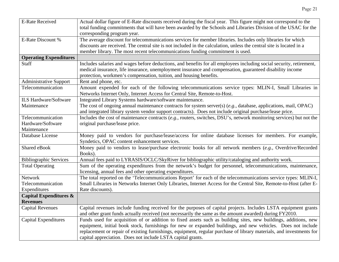| <b>E-Rate Received</b>            | Actual dollar figure of E-Rate discounts received during the fiscal year. This figure might not correspond to the    |
|-----------------------------------|----------------------------------------------------------------------------------------------------------------------|
|                                   | total funding commitments that will have been awarded by the Schools and Libraries Division of the USAC for the      |
|                                   | corresponding program year.                                                                                          |
| E-Rate Discount %                 | The average discount for telecommunications services for member libraries. Includes only libraries for which         |
|                                   | discounts are received. The central site is not included in the calculation, unless the central site is located in a |
|                                   | member library. The most recent telecommunications funding commitment is used.                                       |
| <b>Operating Expenditures</b>     |                                                                                                                      |
| <b>Staff</b>                      | Includes salaries and wages before deductions, and benefits for all employees including social security, retirement, |
|                                   | medical insurance, life insurance, unemployment insurance and compensation, guaranteed disability income             |
|                                   | protection, workmen's compensation, tuition, and housing benefits.                                                   |
| <b>Administrative Support</b>     | Rent and phone, etc.                                                                                                 |
| Telecommunication                 | Amount expended for each of the following telecommunications service types: MLIN-I, Small Libraries in               |
|                                   | Networks Internet Only, Internet Access for Central Site, Remote-to-Host.                                            |
| <b>ILS Hardware/Software</b>      | Integrated Library Systems hardware/software maintenance.                                                            |
| Maintenance                       | The cost of ongoing annual maintenance contracts for system server(s) $(e.g., data base, applications, mail, OPAC)$  |
|                                   | and integrated library system vendor support contracts). Does not include original purchase/lease price.             |
| Telecommunication                 | Includes the cost of maintenance contracts (e.g., routers, switches, DSU's, network monitoring services) but not the |
| Hardware/Software                 | original purchase/lease price.                                                                                       |
| Maintenance                       |                                                                                                                      |
| Database License                  | Money paid to vendors for purchase/lease/access for online database licenses for members. For example,               |
|                                   | Syndetics, OPAC content enhancement services.                                                                        |
| Shared eBook                      | Money paid to vendors to lease/purchase electronic books for all network members (e.g., Overdrive/Recorded           |
|                                   | Books).                                                                                                              |
| <b>Bibliographic Services</b>     | Annual fees paid to LYRASIS/OCLC/SkyRiver for bibliographic utility/cataloging and authority work.                   |
| <b>Total Operating</b>            | Sum of the operating expenditures from the network's budget for personnel, telecommunications, maintenance,          |
|                                   | licensing, annual fees and other operating expenditures.                                                             |
| <b>Network</b>                    | The total reported on the 'Telecommunications Report' for each of the telecommunications service types: MLIN-I,      |
| Telecommunication                 | Small Libraries in Networks Internet Only Libraries, Internet Access for the Central Site, Remote-to-Host (after E-  |
| Expenditures                      | Rate discounts).                                                                                                     |
| <b>Capital Expenditures &amp;</b> |                                                                                                                      |
| <b>Revenues</b>                   |                                                                                                                      |
| <b>Capital Revenues</b>           | Capital revenues include funding received for the purposes of capital projects. Includes LSTA equipment grants       |
|                                   | and other grant funds actually received (not necessarily the same as the amount awarded) during FY2010.              |
| Capital Expenditures              | Funds used for acquisition of or addition to fixed assets such as building sites, new buildings, additions, new      |
|                                   | equipment, initial book stock, furnishings for new or expanded buildings, and new vehicles. Does not include         |
|                                   | replacement or repair of existing furnishings, equipment, regular purchase of library materials, and investments for |
|                                   | capital appreciation. Does not include LSTA capital grants.                                                          |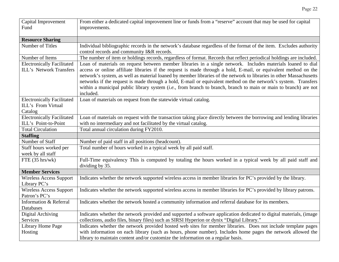| Capital Improvement<br>Fund       | From either a dedicated capital improvement line or funds from a "reserve" account that may be used for capital<br>improvements.                                  |
|-----------------------------------|-------------------------------------------------------------------------------------------------------------------------------------------------------------------|
| <b>Resource Sharing</b>           |                                                                                                                                                                   |
| Number of Titles                  | Individual bibliographic records in the network's database regardless of the format of the item. Excludes authority<br>control records and community I&R records. |
| Number of Items                   | The number of item or holdings records, regardless of format. Records that reflect periodical holdings are included.                                              |
| <b>Electronically Facilitated</b> | Loan of materials on request between member libraries in a single network. Includes materials loaned to dial                                                      |
| ILL's Network Transfers           | access or online affiliate libraries if the request is made through a hold, E-mail, or equivalent method on the                                                   |
|                                   | network's system, as well as material loaned by member libraries of the network to libraries in other Massachusetts                                               |
|                                   | networks if the request is made through a hold, E-mail or equivalent method on the network's system. Transfers                                                    |
|                                   | within a municipal public library system (i.e., from branch to branch, branch to main or main to branch) are not<br>included.                                     |
| <b>Electronically Facilitated</b> | Loan of materials on request from the statewide virtual catalog.                                                                                                  |
| ILL's From Virtual                |                                                                                                                                                                   |
| Catalog                           |                                                                                                                                                                   |
| <b>Electronically Facilitated</b> | Loan of materials on request with the transaction taking place directly between the borrowing and lending libraries                                               |
| ILL's Point-to-Point              | with no intermediary and not facilitated by the virtual catalog.                                                                                                  |
| <b>Total Circulation</b>          | Total annual circulation during FY2010.                                                                                                                           |
| <b>Staffing</b>                   |                                                                                                                                                                   |
| Number of Staff                   | Number of paid staff in all positions (headcount).                                                                                                                |
| Staff hours worked per            | Total number of hours worked in a typical week by all paid staff.                                                                                                 |
| week by all staff                 |                                                                                                                                                                   |
| FTE $(35 \text{ hrs/wk})$         | Full-Time equivalency This is computed by totaling the hours worked in a typical week by all paid staff and<br>dividing by 35.                                    |
| <b>Member Services</b>            |                                                                                                                                                                   |
| <b>Wireless Access Support</b>    | Indicates whether the network supported wireless access in member libraries for PC's provided by the library.                                                     |
| Library PC's                      |                                                                                                                                                                   |
| <b>Wireless Access Support</b>    | Indicates whether the network supported wireless access in member libraries for PC's provided by library patrons.                                                 |
| Patron's PC's                     |                                                                                                                                                                   |
| Information & Referral            | Indicates whether the network hosted a community information and referral database for its members.                                                               |
| Databases                         |                                                                                                                                                                   |
| Digital Archiving                 | Indicates whether the network provided and supported a software application dedicated to digital materials, (image                                                |
| Services                          | collections, audio files, binary files) such as SIRSI Hyperion or dynix "Digital Library."                                                                        |
| Library Home Page                 | Indicates whether the network provided hosted web sites for member libraries. Does not include template pages                                                     |
| Hosting                           | with information on each library (such as hours, phone number). Includes home pages the network allowed the                                                       |
|                                   | library to maintain content and/or customize the information on a regular basis.                                                                                  |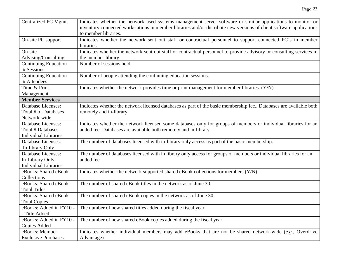| Centralized PC Mgmt.        | Indicates whether the network used systems management server software or similar applications to monitor or         |
|-----------------------------|---------------------------------------------------------------------------------------------------------------------|
|                             | inventory connected workstations in member libraries and/or distribute new versions of client software applications |
|                             | to member libraries.                                                                                                |
| On-site PC support          | Indicates whether the network sent out staff or contractual personnel to support connected PC's in member           |
|                             | libraries.                                                                                                          |
| $On-site$                   | Indicates whether the network sent out staff or contractual personnel to provide advisory or consulting services in |
| Advising/Consulting         | the member library.                                                                                                 |
| <b>Continuing Education</b> | Number of sessions held.                                                                                            |
| # Sessions                  |                                                                                                                     |
| Continuing Education        | Number of people attending the continuing education sessions.                                                       |
| # Attendees                 |                                                                                                                     |
| Time & Print                | Indicates whether the network provides time or print management for member libraries. (Y/N)                         |
| Management                  |                                                                                                                     |
| <b>Member Services</b>      |                                                                                                                     |
| Database Licenses:          | Indicates whether the network licensed databases as part of the basic membership fee Databases are available both   |
| Total # of Databases        | remotely and in-library                                                                                             |
| Network-wide                |                                                                                                                     |
| <b>Database Licenses:</b>   | Indicates whether the network licensed some databases only for groups of members or individual libraries for an     |
| Total # Databases -         | added fee. Databases are available both remotely and in-library                                                     |
| <b>Individual Libraries</b> |                                                                                                                     |
| Database Licenses:          | The number of databases licensed with in-library only access as part of the basic membership.                       |
| In-library Only             |                                                                                                                     |
| <b>Database Licenses:</b>   | The number of databases licensed with in library only access for groups of members or individual libraries for an   |
| In-Library Only -           | added fee                                                                                                           |
| <b>Individual Libraries</b> |                                                                                                                     |
| eBooks: Shared eBook        | Indicates whether the network supported shared eBook collections for members (Y/N)                                  |
| Collections                 |                                                                                                                     |
| eBooks: Shared eBook -      | The number of shared eBook titles in the network as of June 30.                                                     |
| <b>Total Titles</b>         |                                                                                                                     |
| eBooks: Shared eBook -      | The number of shared eBook copies in the network as of June 30.                                                     |
| <b>Total Copies</b>         |                                                                                                                     |
| eBooks: Added in FY10 -     | The number of new shared titles added during the fiscal year.                                                       |
| - Title Added               |                                                                                                                     |
| eBooks: Added in FY10 -     | The number of new shared eBook copies added during the fiscal year.                                                 |
| <b>Copies Added</b>         |                                                                                                                     |
| eBooks: Member              | Indicates whether individual members may add eBooks that are not be shared network-wide (e.g., Overdrive            |
| <b>Exclusive Purchases</b>  | Advantage)                                                                                                          |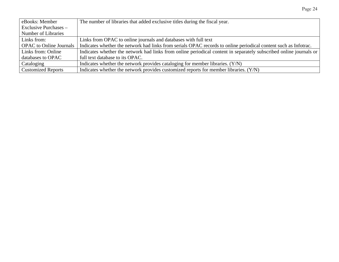| eBooks: Member                 | The number of libraries that added exclusive titles during the fiscal year.                                        |
|--------------------------------|--------------------------------------------------------------------------------------------------------------------|
| Exclusive Purchases –          |                                                                                                                    |
| Number of Libraries            |                                                                                                                    |
| Links from:                    | Links from OPAC to online journals and databases with full text                                                    |
| <b>OPAC</b> to Online Journals | Indicates whether the network had links from serials OPAC records to online periodical content such as Infotrac.   |
| Links from: Online             | Indicates whether the network had links from online periodical content in separately subscribed online journals or |
| databases to OPAC              | full text database to its OPAC.                                                                                    |
| Cataloging                     | Indicates whether the network provides cataloging for member libraries. (Y/N)                                      |
| <b>Customized Reports</b>      | Indicates whether the network provides customized reports for member libraries. $(Y/N)$                            |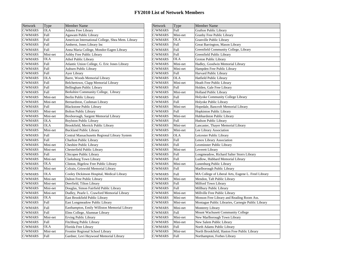| <b>Network</b> | Type        | <b>Member Name</b>                                | Network | Type        | Member Name                                         |
|----------------|-------------|---------------------------------------------------|---------|-------------|-----------------------------------------------------|
| C/WMARS        | <b>OLA</b>  | Adams Free Library                                | C/WMARS | Full        | <b>Grafton Public Library</b>                       |
| C/WMARS        | Full        | Agawam Public Library                             | C/WMARS | Mini-net    | Granby Free Public Library                          |
| C/WMARS        | Full        | American International College, Shea Mem. Library | C/WMARS | OLA         | Granville Public Library                            |
| C/WMARS        | <b>Full</b> | Amherst, Jones Library Inc                        | C/WMARS | Full        | Great Barrington, Mason Library                     |
| C/WMARS        | <b>Full</b> | Anna Maria College, Mondor-Eagen Library          | C/WMARS | Full        | Greenfield Community College, Library               |
| C/WMARS        | Mini-net    | Ashby Free Public Library                         | C/WMARS | <b>Full</b> | Greenfield Public Library                           |
| C/WMARS        | <b>OLA</b>  | <b>Athol Public Library</b>                       | C/WMARS | OLA         | Groton Public Library                               |
| C/WMARS        | <b>Full</b> | Atlantic Union College, G. Eric Jones Library     | C/WMARS | Mini-net    | Hadley, Goodwin Memorial Library                    |
| C/WMARS        | Full        | Auburn Public Library                             | C/WMARS | Mini-net    | Hampden Free Public Library                         |
| C/WMARS        | Full        | Ayer Library                                      | C/WMARS | Full        | Harvard Public Library                              |
| C/WMARS        | <b>OLA</b>  | Barre, Woods Memorial Library                     | C/WMARS | <b>OLA</b>  | Hatfield Public Library                             |
| C/WMARS        | Full        | Belchertown, Clapp Memorial Library               | C/WMARS | Mini-net    | Heath Free Public Library                           |
| C/WMARS        | <b>Full</b> | Bellingham Public Library                         | C/WMARS | Full        | Holden, Gale Free Library                           |
| C/WMARS        | Full        | Berkshire Community College, Library              | C/WMARS | Mini-net    | Holland Public Library                              |
| C/WMARS        | Mini-net    | Berlin Public Library                             | C/WMARS | <b>Full</b> | Holyoke Community College Library                   |
| C/WMARS        | Mini-net    | Bernardston, Cushman Library                      | C/WMARS | Full        | Holyoke Public Library                              |
| C/WMARS        | Full        | <b>Blackstone Public Library</b>                  | C/WMARS | Mini-net    | Hopedale, Bancroft Memorial Library                 |
| C/WMARS        | Mini-net    | <b>Bolton Public Library</b>                      | C/WMARS | Full        | Hopkinton Public Library                            |
| C/WMARS        | Mini-net    | Boxborough, Sargent Memorial Library              | C/WMARS | Mini-net    | Hubbardston Public Library                          |
| C/WMARS        | <b>OLA</b>  | <b>Boylston Public Library</b>                    | C/WMARS | Full        | Hudson Public Library                               |
| C/WMARS        | <b>OLA</b>  | Brookfield, Merrick Public Library                | C/WMARS | Mini-net    | Lancaster, Thayer Memorial Library                  |
| C/WMARS        | Mini-net    | <b>Buckland Public Library</b>                    | C/WMARS | Mini-net    | Lee Library Association                             |
| C/WMARS        | Full        | Central Massachusetts Regional Library System     | C/WMARS | OLA         | Leicester Public Library                            |
| C/WMARS        | Full        | Charlton Public Library                           | C/WMARS | Full        | Lenox Library Association                           |
| C/WMARS        | Mini-net    | Cheshire Public Library                           | C/WMARS | Full        | Leominster Public Library                           |
| C/WMARS        | Mini-net    | Chesterfield Public Library                       | C/WMARS | Mini-net    | Leverett Library                                    |
| C/WMARS        | Full        | Chicopee Public Library                           | C/WMARS | Full        | Longmeadow, Richard Salter Storrs Library           |
| C/WMARS        | Mini-net    | Clarksburg Town Library                           | C/WMARS | Full        | Ludlow, Hubbard Memorial Library                    |
| C/WMARS        | <b>OLA</b>  | Clinton, Bigelow Free Public Library              | C/WMARS | Mini-net    | Lunenburg Public Library                            |
| C/WMARS        | Mini-net    | Colrain, Griswold Memorial Library                | C/WMARS | Full        | Marlborough Public Library                          |
| C/WMARS        | <b>OLA</b>  | Cooley Dickinson Hospital, Medical Library        | C/WMARS | Full        | MA College of Liberal Arts, Eugene L. Freel Library |
| C/WMARS        | Mini-net    | Dalton Free Public Library                        | C/WMARS | Mini-net    | Mendon, Taft Public Library                         |
| C/WMARS        | Mini-net    | Deerfield, Tilton Library                         | C/WMARS | Full        | Milford Town Library                                |
| C/WMARS        | Mini-net    | Douglas, Simon Fairfield Public Library           | C/WMARS | Full        | Millbury Public Library                             |
| C/WMARS        | Mini-net    | Dudley, Pearle L. Crawford Memorial Library       | C/WMARS | Mini-net    | Millville Free Public Library                       |
| C/WMARS        | <b>OLA</b>  | East Brookfield Public Library                    | C/WMARS | Mini-net    | Monson Free Library and Reading Room Ass.           |
| C/WMARS        | <b>Full</b> | East Longmeadow Public Library                    | C/WMARS | Mini-net    | Montague Public Libraries, Carnegie Public Library  |
| C/WMARS        | Full        | Easthampton, Emily Williston Memorial Library     | C/WMARS | Mini-net    | <b>Monterey Library</b>                             |
| C/WMARS        | Full        | Elms College, Alumnae Library                     | C/WMARS | Full        | Mount Wachusett Community College                   |
| C/WMARS        | Mini-net    | Erving Public Library                             | C/WMARS | Mini-net    | New Marlborough Town Library                        |
| C/WMARS        | <b>Full</b> | Fitchburg Public Library                          | C/WMARS | Mini-net    | New Salem Public Library                            |
| C/WMARS        | <b>OLA</b>  | Florida Free Library                              | C/WMARS | Full        | North Adams Public Library                          |
| C/WMARS        | Mini-net    | Frontier Regional School Library                  | C/WMARS | Mini-net    | North Brookfield, Haston Free Public Library        |
| C/WMARS        | Full        | Gardner, Levi Heywood Memorial Library            | C/WMARS | Full        | Northampton, Forbes Library                         |
|                |             |                                                   |         |             |                                                     |

|   | Type        | <b>Member Name</b>                                | <b>Network</b> | Type        | <b>Member Name</b>                                  |
|---|-------------|---------------------------------------------------|----------------|-------------|-----------------------------------------------------|
| S | <b>OLA</b>  | <b>Adams Free Library</b>                         | C/WMARS        | Full        | <b>Grafton Public Library</b>                       |
| S | Full        | Agawam Public Library                             | C/WMARS        | Mini-net    | Granby Free Public Library                          |
| S | <b>Full</b> | American International College, Shea Mem. Library | C/WMARS        | <b>OLA</b>  | Granville Public Library                            |
| S | <b>Full</b> | Amherst, Jones Library Inc                        | C/WMARS        | Full        | Great Barrington, Mason Library                     |
| S | Full        | Anna Maria College, Mondor-Eagen Library          | C/WMARS        | <b>Full</b> | Greenfield Community College, Library               |
| S | Mini-net    | Ashby Free Public Library                         | C/WMARS        | <b>Full</b> | Greenfield Public Library                           |
| S | <b>OLA</b>  | <b>Athol Public Library</b>                       | C/WMARS        | <b>OLA</b>  | <b>Groton Public Library</b>                        |
| S | Full        | Atlantic Union College, G. Eric Jones Library     | C/WMARS        | Mini-net    | Hadley, Goodwin Memorial Library                    |
| S | Full        | Auburn Public Library                             | C/WMARS        | Mini-net    | Hampden Free Public Library                         |
| S | Full        | <b>Ayer Library</b>                               | C/WMARS        | Full        | Harvard Public Library                              |
| S | <b>OLA</b>  | Barre, Woods Memorial Library                     | C/WMARS        | <b>OLA</b>  | Hatfield Public Library                             |
| S | <b>Full</b> | Belchertown, Clapp Memorial Library               | C/WMARS        | Mini-net    | Heath Free Public Library                           |
| S | Full        | Bellingham Public Library                         | C/WMARS        | Full        | Holden, Gale Free Library                           |
| S | <b>Full</b> | Berkshire Community College, Library              | C/WMARS        | Mini-net    | <b>Holland Public Library</b>                       |
| S | Mini-net    | Berlin Public Library                             | C/WMARS        | Full        | Holyoke Community College Library                   |
| S | Mini-net    | Bernardston, Cushman Library                      | C/WMARS        | Full        | Holyoke Public Library                              |
| S | Full        | <b>Blackstone Public Library</b>                  | C/WMARS        | Mini-net    | Hopedale, Bancroft Memorial Library                 |
| S | Mini-net    | <b>Bolton Public Library</b>                      | C/WMARS        | Full        | <b>Hopkinton Public Library</b>                     |
| S | Mini-net    | Boxborough, Sargent Memorial Library              | C/WMARS        | Mini-net    | Hubbardston Public Library                          |
| S | <b>OLA</b>  | <b>Boylston Public Library</b>                    | C/WMARS        | Full        | Hudson Public Library                               |
| S | <b>OLA</b>  | Brookfield, Merrick Public Library                | C/WMARS        | Mini-net    | Lancaster, Thayer Memorial Library                  |
| S | Mini-net    | <b>Buckland Public Library</b>                    | C/WMARS        | Mini-net    | Lee Library Association                             |
| S | <b>Full</b> | Central Massachusetts Regional Library System     | C/WMARS        | <b>OLA</b>  | Leicester Public Library                            |
| S | Full        | <b>Charlton Public Library</b>                    | C/WMARS        | Full        | Lenox Library Association                           |
| S | Mini-net    | Cheshire Public Library                           | C/WMARS        | Full        | Leominster Public Library                           |
| S | Mini-net    | Chesterfield Public Library                       | C/WMARS        | Mini-net    | Leverett Library                                    |
| S | Full        | Chicopee Public Library                           | C/WMARS        | Full        | Longmeadow, Richard Salter Storrs Library           |
| S | Mini-net    | Clarksburg Town Library                           | C/WMARS        | Full        | Ludlow, Hubbard Memorial Library                    |
| S | <b>OLA</b>  | Clinton, Bigelow Free Public Library              | C/WMARS        | Mini-net    | Lunenburg Public Library                            |
| S | Mini-net    | Colrain, Griswold Memorial Library                | C/WMARS        | Full        | Marlborough Public Library                          |
| S | <b>OLA</b>  | Cooley Dickinson Hospital, Medical Library        | C/WMARS        | Full        | MA College of Liberal Arts, Eugene L. Freel Library |
| S | Mini-net    | Dalton Free Public Library                        | C/WMARS        | Mini-net    | Mendon, Taft Public Library                         |
| S | Mini-net    | Deerfield, Tilton Library                         | C/WMARS        | Full        | Milford Town Library                                |
| S | Mini-net    | Douglas, Simon Fairfield Public Library           | C/WMARS        | <b>Full</b> | Millbury Public Library                             |
| S | Mini-net    | Dudley, Pearle L. Crawford Memorial Library       | C/WMARS        | Mini-net    | Millville Free Public Library                       |
| S | <b>OLA</b>  | East Brookfield Public Library                    | C/WMARS        | Mini-net    | Monson Free Library and Reading Room Ass.           |
| S | Full        | East Longmeadow Public Library                    | C/WMARS        | Mini-net    | Montague Public Libraries, Carnegie Public Library  |
| S | Full        | Easthampton, Emily Williston Memorial Library     | C/WMARS        | Mini-net    | <b>Monterey Library</b>                             |
| S | Full        | Elms College, Alumnae Library                     | C/WMARS        | Full        | Mount Wachusett Community College                   |
| S | Mini-net    | Erving Public Library                             | C/WMARS        | Mini-net    | New Marlborough Town Library                        |
| S | Full        | Fitchburg Public Library                          | C/WMARS        | Mini-net    | New Salem Public Library                            |
| S | <b>OLA</b>  | Florida Free Library                              | C/WMARS        | Full        | North Adams Public Library                          |
| S | Mini-net    | Frontier Regional School Library                  | C/WMARS        | Mini-net    | North Brookfield, Haston Free Public Library        |
| S | Full        | Gardner, Levi Heywood Memorial Library            | C/WMARS        | Full        | Northampton, Forbes Library                         |
|   |             |                                                   |                |             |                                                     |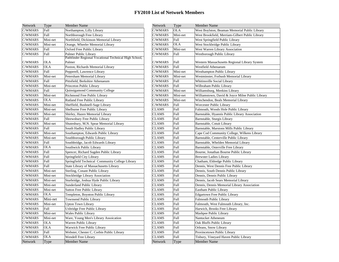| Network | <b>Type</b> | <b>Member Name</b>                                    | <b>Network</b> | Type        | <b>Member Name</b>                               |
|---------|-------------|-------------------------------------------------------|----------------|-------------|--------------------------------------------------|
| C/WMARS | Full        | Northampton, Lilly Library                            | C/WMARS        | <b>OLA</b>  | West Boylston, Beaman Memorial Public Library    |
| C/WMARS | Full        | Northborough Free Library                             | C/WMARS        | Mini-net    | West Brookfield, Merriam-Gilbert Public Library  |
| C/WMARS | Mini-net    | Northfield, Dickinson Memorial Library                | C/WMARS        | Full        | West Springfield Public Library                  |
| C/WMARS | Mini-net    | Orange, Wheeler Memorial Library                      | C/WMARS        | <b>OLA</b>  | West Stockbridge Public Library                  |
| C/WMARS | Full        | Oxford Free Public Library                            | C/WMARS        | Mini-net    | West Warren Library Association                  |
| C/WMARS | Full        | Palmer Public Library                                 | C/WMARS        | Full        | Westborough Public Library                       |
|         |             | Pathfinder Regional Vocational Technical High School, |                |             |                                                  |
| C/WMARS | <b>OLA</b>  | Palmer                                                | C/WMARS        | Full        | Western Massachusetts Regional Library System    |
| C/WMARS | <b>OLA</b>  | Paxton, Richards Memorial Library                     | C/WMARS        | Full        | Westfield Athenaeum                              |
| C/WMARS | Full        | Pepperell, Lawrence Library                           | C/WMARS        | Mini-net    | Westhampton Public Library                       |
| C/WMARS | Mini-net    | Petersham Memorial Library                            | C/WMARS        | Mini-net    | Westminster, Forbush Memorial Library            |
| C/WMARS | Full        | Pittsfield, Berkshire Athenaeum                       | C/WMARS        | Full        | Whitinsville Social Library                      |
| C/WMARS | Mini-net    | Princeton Public Library                              | C/WMARS        | Full        | Wilbraham Public Library                         |
| C/WMARS | <b>Full</b> | Quinsigamond Community College                        | C/WMARS        | Mini-net    | Williamsburg, Meekins Library                    |
| C/WMARS | Mini-net    | Richmond Free Public Library                          | C/WMARS        | Mini-net    | Williamstown, David & Joyce Milne Public Library |
| C/WMARS | <b>OLA</b>  | Rutland Free Public Library                           | C/WMARS        | Mini-net    | Winchendon, Beals Memorial Library               |
| C/WMARS | Mini-net    | Sheffield, Bushnell-Sage Library                      | C/WMARS        | Full        | Worcester Public Library                         |
| C/WMARS | Mini-net    | Shelburne Free Public Library                         | <b>CLAMS</b>   | Full        | Falmouth, Woods Hole Public Library              |
| C/WMARS | Mini-net    | Shirley, Hazen Memorial Library                       | <b>CLAMS</b>   | <b>Full</b> | Barnstable, Hyannis Public Library Association   |
| C/WMARS | Full        | Shrewsbury Free Public Library                        | <b>CLAMS</b>   | Full        | Barnstable, Sturgis Library                      |
| C/WMARS | Mini-net    | Shutesbury, M.N. Spear Memorial Library               | <b>CLAMS</b>   | Full        | Barnstable, Cotuit Library                       |
| C/WMARS | Full        | South Hadley Public Library                           | <b>CLAMS</b>   | Full        | Barnstable, Marstons Mills Public Library        |
| C/WMARS | Mini-net    | Southampton, Edwards Public Library                   | <b>CLAMS</b>   | Full        | Cape Cod Community College, Wilkens Library      |
| C/WMARS | Mini-net    | Southborough Public Library                           | <b>CLAMS</b>   | <b>Full</b> | Barnstable, Centerville Public Library           |
| C/WMARS | <b>Full</b> | Southbridge, Jacob Edwards Library                    | <b>CLAMS</b>   | Full        | Barnstable, Whelden Memorial Library             |
| C/WMARS | <b>OLA</b>  | Southwick Public Library                              | <b>CLAMS</b>   | Full        | Barnstable, Osterville Free Library              |
| C/WMARS | Full        | Spencer, Richard Sugden Public Library                | <b>CLAMS</b>   | Full        | Bourne, Jonathan Bourne Public Library           |
| C/WMARS | Full        | Springfield City Library                              | <b>CLAMS</b>   | Full        | <b>Brewster Ladies Library</b>                   |
| C/WMARS | <b>Full</b> | Springfield Technical Community College Library       | <b>CLAMS</b>   | <b>Full</b> | Chatham, Eldredge Public Library                 |
| C/WMARS | Full        | State Library of Massachusetts Library                | <b>CLAMS</b>   | Full        | Dennis, West Dennis Free Public Library          |
| C/WMARS | Mini-net    | Sterling, Conant Public Library                       | <b>CLAMS</b>   | Full        | Dennis, South Dennis Public Library              |
| C/WMARS | Mini-net    | <b>Stockbridge Library Association</b>                | <b>CLAMS</b>   | Full        | Dennis, Dennis Public Library                    |
| C/WMARS | Mini-net    | Sturbridge, Joshua Hyde Public Library                | <b>CLAMS</b>   | Full        | Dennis, Jacob Sears Memorial Library             |
| C/WMARS | Mini-net    | Sunderland Public Library                             | <b>CLAMS</b>   | <b>Full</b> | Dennis, Dennis Memorial Library Association      |
| C/WMARS | Mini-net    | <b>Sutton Free Public Library</b>                     | <b>CLAMS</b>   | Full        | Eastham Public Library                           |
| C/WMARS | <b>OLA</b>  | Templeton, Boynton Public Library                     | <b>CLAMS</b>   | Full        | <b>Edgartown Free Public Library</b>             |
| C/WMARS | Mini-net    | <b>Townsend Public Library</b>                        | <b>CLAMS</b>   | Full        | <b>Falmouth Public Library</b>                   |
| C/WMARS | Mini-net    | <b>Upton Town Library</b>                             | <b>CLAMS</b>   | Full        | Falmouth, West Falmouth Library, Inc.            |
| C/WMARS | <b>Full</b> | Uxbridge Free Public Library                          | <b>CLAMS</b>   | <b>Full</b> | Harwich, Brooks Free Library                     |
| C/WMARS | Mini-net    | <b>Wales Public Library</b>                           | <b>CLAMS</b>   | Full        | Mashpee Public Library                           |
| C/WMARS | Mini-net    | Ware, Young Men's Library Assoication                 | <b>CLAMS</b>   | Full        | Nantucket Atheneum                               |
| C/WMARS | <b>OLA</b>  | Warren Public Library                                 | <b>CLAMS</b>   | Full        | Oak Bluffs Public Library                        |
| C/WMARS | <b>OLA</b>  | Warwick Free Public Library                           | <b>CLAMS</b>   | <b>Full</b> | Orleans, Snow Library                            |
| C/WMARS | <b>Full</b> | Webster, Chester C. Corbin Public Library             | <b>CLAMS</b>   | <b>Full</b> | Provincetown Public Library                      |
| C/WMARS | <b>OLA</b>  | Wendell Free Library                                  | <b>CLAMS</b>   | Full        | Tisbury, Vineyard Haven Public Library           |
| Network | Type        | <b>Member Name</b>                                    | Network        | Type        | <b>Member Name</b>                               |
|         |             |                                                       |                |             |                                                  |

| ber Name                                        | Network      | Type        | <b>Member Name</b>                               |
|-------------------------------------------------|--------------|-------------|--------------------------------------------------|
| ampton, Lilly Library                           | C/WMARS      | <b>OLA</b>  | West Boylston, Beaman Memorial Public Library    |
| borough Free Library                            | C/WMARS      | Mini-net    | West Brookfield, Merriam-Gilbert Public Library  |
| field, Dickinson Memorial Library               | C/WMARS      | Full        | West Springfield Public Library                  |
| e, Wheeler Memorial Library                     | C/WMARS      | <b>OLA</b>  | West Stockbridge Public Library                  |
| d Free Public Library                           | C/WMARS      | Mini-net    | West Warren Library Association                  |
| r Public Library                                | C/WMARS      | Full        | Westborough Public Library                       |
| nder Regional Vocational Technical High School, |              |             |                                                  |
|                                                 | C/WMARS      | Full        | Western Massachusetts Regional Library System    |
| n, Richards Memorial Library                    | C/WMARS      | Full        | Westfield Athenaeum                              |
| rell, Lawrence Library                          | C/WMARS      | Mini-net    | <b>Westhampton Public Library</b>                |
| ham Memorial Library                            | C/WMARS      | Mini-net    | Westminster, Forbush Memorial Library            |
| eld, Berkshire Athenaeum                        | C/WMARS      | Full        | Whitinsville Social Library                      |
| ton Public Library                              | C/WMARS      | Full        | Wilbraham Public Library                         |
| igamond Community College                       | C/WMARS      | Mini-net    | Williamsburg, Meekins Library                    |
| ond Free Public Library                         | C/WMARS      | Mini-net    | Williamstown, David & Joyce Milne Public Library |
| d Free Public Library                           | C/WMARS      | Mini-net    | Winchendon, Beals Memorial Library               |
| eld, Bushnell-Sage Library                      | C/WMARS      | Full        | Worcester Public Library                         |
| irne Free Public Library                        | <b>CLAMS</b> | Full        | Falmouth, Woods Hole Public Library              |
| y, Hazen Memorial Library                       | <b>CLAMS</b> | Full        | Barnstable, Hyannis Public Library Association   |
| sbury Free Public Library                       | <b>CLAMS</b> | Full        | Barnstable, Sturgis Library                      |
| sbury, M.N. Spear Memorial Library              | CLAMS        | Full        | Barnstable, Cotuit Library                       |
| <b>Hadley Public Library</b>                    | <b>CLAMS</b> | Full        | Barnstable, Marstons Mills Public Library        |
| ampton, Edwards Public Library                  | CLAMS        | Full        | Cape Cod Community College, Wilkens Library      |
| borough Public Library                          | <b>CLAMS</b> | Full        | Barnstable, Centerville Public Library           |
| bridge, Jacob Edwards Library                   | <b>CLAMS</b> | Full        | Barnstable, Whelden Memorial Library             |
| wick Public Library                             | <b>CLAMS</b> | Full        | Barnstable, Osterville Free Library              |
| er, Richard Sugden Public Library               | <b>CLAMS</b> | Full        | Bourne, Jonathan Bourne Public Library           |
| field City Library;                             | <b>CLAMS</b> | Full        | <b>Brewster Ladies Library</b>                   |
| field Technical Community College Library       | <b>CLAMS</b> | <b>Full</b> | Chatham, Eldredge Public Library                 |
| Library of Massachusetts Library                | <b>CLAMS</b> | Full        | Dennis, West Dennis Free Public Library          |
| ig, Conant Public Library                       | <b>CLAMS</b> | Full        | Dennis, South Dennis Public Library              |
| pridge Library Association                      | <b>CLAMS</b> | Full        | Dennis, Dennis Public Library                    |
| idge, Joshua Hyde Public Library                | <b>CLAMS</b> | Full        | Dennis, Jacob Sears Memorial Library             |
| rland Public Library                            | <b>CLAMS</b> | Full        | Dennis, Dennis Memorial Library Association      |
| Free Public Library                             | <b>CLAMS</b> | Full        | Eastham Public Library                           |
| leton, Boynton Public Library                   | CLAMS        | Full        | Edgartown Free Public Library                    |
| send Public Library                             | <b>CLAMS</b> | Full        | Falmouth Public Library                          |
| Town Library                                    | <b>CLAMS</b> | Full        | Falmouth, West Falmouth Library, Inc.            |
| dge Free Public Library                         | <b>CLAMS</b> | Full        | Harwich, Brooks Free Library                     |
| Public Library                                  | <b>CLAMS</b> | Full        | Mashpee Public Library                           |
| Young Men's Library Assoication                 | <b>CLAMS</b> | Full        | Nantucket Atheneum                               |
| n Public Library                                | <b>CLAMS</b> | Full        | Oak Bluffs Public Library                        |
| ick Free Public Library                         | <b>CLAMS</b> | Full        | Orleans, Snow Library                            |
| er, Chester C. Corbin Public Library            | <b>CLAMS</b> | Full        | Provincetown Public Library                      |
| ell Free Library                                | <b>CLAMS</b> | Full        | Tisbury, Vineyard Haven Public Library           |
| ber Name                                        | Network      | Type        | Member Name                                      |
|                                                 |              |             |                                                  |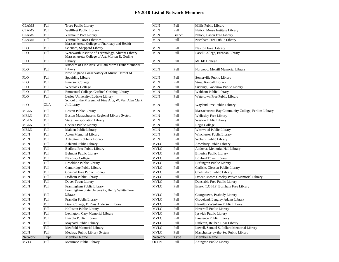| <b>CLAMS</b> | Full       | Truro Public Library                                                                       | <b>MLN</b>  | Full          | Millis Public Library                                |
|--------------|------------|--------------------------------------------------------------------------------------------|-------------|---------------|------------------------------------------------------|
| <b>CLAMS</b> | Full       | Wellfleet Public Library                                                                   | <b>MLN</b>  | Full          | Natick, Morse Institute Library                      |
| <b>CLAMS</b> | Full       | Yarmouth Port Library                                                                      | MLN         | <b>Branch</b> | Natick, Bacon Free Library                           |
| <b>CLAMS</b> | Full       | <b>Yarmouth Town Libraries</b>                                                             | MLN         | Full          | Needham Free Public Library                          |
| <b>FLO</b>   | Full       | Massachusetts College of Pharmacy and Health<br>Sciences, Sheppard Library                 | <b>MLN</b>  | Full          | Newton Free Library                                  |
| <b>FLO</b>   | Full       | Wentworth Institute of Technology, Alumni Library                                          | <b>MLN</b>  | Full          | Lasell College, Brennan Library                      |
|              |            | Massachusetts College of Art, Morton R. Godine                                             |             |               |                                                      |
| <b>FLO</b>   | Full       | Library                                                                                    | <b>MLN</b>  | Full          | Mt. Ida College                                      |
|              |            | Museum of Fine Arts, William Morris Hunt Memorial                                          |             |               |                                                      |
| <b>FLO</b>   | Full       | Library<br>New England Conservatory of Music, Harriet M.                                   | <b>MLN</b>  | Full          | Norwood, Morrill Memorial Library                    |
| <b>FLO</b>   | Full       | Spaulding Library                                                                          | <b>MLN</b>  | Full          | Somerville Public Library                            |
| <b>FLO</b>   | Full       | <b>Emerson College</b>                                                                     | <b>MLN</b>  | Full          | Stow, Randall Library                                |
| <b>FLO</b>   | Full       | <b>Wheelock College</b>                                                                    | <b>MLN</b>  | Full          | Sudbury, Goodnow Public Library                      |
| <b>FLO</b>   | Full       | Emmanuel College, Cardinal Cushing Library                                                 | <b>MLN</b>  | Full          |                                                      |
|              | Full       |                                                                                            | <b>MLN</b>  | Full          | Waltham Public Library                               |
| <b>FLO</b>   |            | Lesley University, Ludcke Library<br>School of the Museum of Fine Arts, W. Van Alan Clark, |             |               | Watertown Free Public Library                        |
| <b>FLO</b>   | <b>OLA</b> | Jr. Library                                                                                | <b>MLN</b>  | Full          | Wayland Free Public Library                          |
| <b>MBLN</b>  | Full       | <b>Boston Public Library</b>                                                               | MLN         | Full          | Massachusetts Bay Community College, Perkins Library |
| <b>MBLN</b>  | Full       | Boston Massachusetts Regional Library System                                               | <b>MLN</b>  | Full          | <b>Wellesley Free Library</b>                        |
| <b>MBLN</b>  | Full       | <b>State Transportation Library</b>                                                        | <b>MLN</b>  | Full          | <b>Weston Public Library</b>                         |
| <b>MBLN</b>  | Full       | Chelsea Public Library                                                                     | <b>MLN</b>  | Full          | Regis College                                        |
| <b>MBLN</b>  | Full       | Malden Public Library                                                                      | <b>MLN</b>  | Full          | Westwood Public Library                              |
| $\text{MLN}$ | Full       | <b>Acton Memorial Library</b>                                                              | <b>MLN</b>  | Full          | Winchester Public Library                            |
| MLN          | Full       | Arlington, Robbins Library                                                                 | <b>MLN</b>  | Full          | Woburn Public Library                                |
| <b>MLN</b>   | Full       | <b>Ashland Public Library</b>                                                              | <b>MVLC</b> | Full          | Amesbury Public Library                              |
| <b>MLN</b>   | Full       | <b>Bedford Free Public Library</b>                                                         | <b>MVLC</b> | Full          | Andover, Memorial Hall Library                       |
| <b>MLN</b>   | Full       | <b>Belmont Public Library</b>                                                              | <b>MVLC</b> | Full          | <b>Billerica Public Library</b>                      |
| <b>MLN</b>   | Full       | Newbury College                                                                            | <b>MVLC</b> | Full          | <b>Boxford Town Library</b>                          |
| <b>MLN</b>   | Full       | <b>Brookline Public Library</b>                                                            | <b>MVLC</b> | Full          | <b>Burlington Public Library</b>                     |
| MLN          | Full       | Cambridge Public Library                                                                   | <b>MVLC</b> | Full          | Carlisle, Gleason Public Library                     |
| <b>MLN</b>   | Full       | Concord Free Public Library                                                                | <b>MVLC</b> | Full          | Chelmsford Public Library                            |
| <b>MLN</b>   | Full       | Dedham Public Library                                                                      | <b>MVLC</b> | Full          | Dracut, Moses Greeley Parker Memorial Library        |
| <b>MLN</b>   | Full       | Dover Town Library                                                                         | <b>MVLC</b> | Full          | Dunstable Free Public Library                        |
| <b>MLN</b>   | Full       | Framingham Public Library                                                                  | <b>MVLC</b> | Full          | Essex, T.O.H.P. Burnham Free Library                 |
|              |            | Framingham State University, Henry Whittemore                                              |             |               |                                                      |
| <b>MLN</b>   | Full       | Library                                                                                    | <b>MVLC</b> | Full          | Georgetown, Peabody Library                          |
| <b>MLN</b>   | Full       | Franklin Public Library                                                                    | <b>MVLC</b> | <b>Full</b>   | Groveland, Langley Adams Library                     |
| <b>MLN</b>   | Full       | Dean College, E. Ross Anderson Library                                                     | <b>MVLC</b> | Full          | Hamilton-Wenham Public Library                       |
| <b>MLN</b>   | Full       | <b>Holliston Public Library</b>                                                            | <b>MVLC</b> | Full          | Haverhill Public Library                             |
| <b>MLN</b>   | Full       | Lexington, Cary Memorial Library                                                           | <b>MVLC</b> | Full          | Ipswich Public Library                               |
| <b>MLN</b>   | Full       | Lincoln Public Library                                                                     | <b>MVLC</b> | Full          | Lawrence Public Library                              |
| <b>MLN</b>   | Full       | Maynard Public Library                                                                     | <b>MVLC</b> | <b>Full</b>   | Littleton, Reuben Hoar Library                       |
| <b>MLN</b>   | Full       | Medfield Memorial Library                                                                  | <b>MVLC</b> | Full          | Lowell, Samuel S. Pollard Memorial Library           |
| <b>MLN</b>   | Full       | Medway Public Library System                                                               | <b>MVLC</b> | <b>Full</b>   | Manchester-by-the-Sea Public Library                 |
| Network      | Type       | <b>Member Name</b>                                                                         | Network     | Type          | <b>Member Name</b>                                   |
| <b>MVLC</b>  | Full       | Merrimac Public Library                                                                    | <b>OCLN</b> | Full          | Abington Public Library                              |

| Truro Public Library                                         | MLN         | Full          | Millis Public Library                                |
|--------------------------------------------------------------|-------------|---------------|------------------------------------------------------|
| Wellfleet Public Library                                     | MLN         | Full          | Natick, Morse Institute Library                      |
| <b>Yarmouth Port Library</b>                                 | MLN         | <b>Branch</b> | Natick, Bacon Free Library                           |
| <b>Yarmouth Town Libraries</b>                               | MLN         | Full          | Needham Free Public Library                          |
| Massachusetts College of Pharmacy and Health                 |             |               |                                                      |
| Sciences, Sheppard Library                                   | MLN         | Full          | Newton Free Library                                  |
| Wentworth Institute of Technology, Alumni Library            | MLN         | Full          | Lasell College, Brennan Library                      |
| Massachusetts College of Art, Morton R. Godine               |             |               |                                                      |
| Library<br>Museum of Fine Arts, William Morris Hunt Memorial | MLN         | Full          | Mt. Ida College                                      |
| Library                                                      | MLN         | Full          | Norwood, Morrill Memorial Library                    |
| New England Conservatory of Music, Harriet M.                |             |               |                                                      |
| <b>Spaulding Library</b>                                     | MLN         | Full          | Somerville Public Library                            |
| <b>Emerson College</b>                                       | MLN         | Full          | Stow, Randall Library                                |
| <b>Wheelock College</b>                                      | MLN         | Full          | Sudbury, Goodnow Public Library                      |
| Emmanuel College, Cardinal Cushing Library                   | MLN         | Full          | Waltham Public Library                               |
| Lesley University, Ludcke Library                            | MLN         | Full          | Watertown Free Public Library                        |
| School of the Museum of Fine Arts, W. Van Alan Clark,        |             |               |                                                      |
| Jr. Library                                                  | MLN         | Full          | Wayland Free Public Library                          |
| <b>Boston Public Library</b>                                 | MLN         | Full          | Massachusetts Bay Community College, Perkins Library |
| <b>Boston Massachusetts Regional Library System</b>          | MLN         | Full          | Wellesley Free Library                               |
| <b>State Transportation Library</b>                          | MLN         | Full          | <b>Weston Public Library</b>                         |
| Chelsea Public Library                                       | MLN         | Full          | Regis College                                        |
| Malden Public Library                                        | MLN         | Full          | Westwood Public Library                              |
| <b>Acton Memorial Library</b>                                | MLN         | Full          | Winchester Public Library                            |
| Arlington, Robbins Library                                   | MLN         | Full          | Woburn Public Library                                |
| <b>Ashland Public Library</b>                                | MVLC        | Full          | Amesbury Public Library                              |
| Bedford Free Public Library                                  | MVLC        | Full          | Andover, Memorial Hall Library                       |
| <b>Belmont Public Library</b>                                | MVLC        | Full          | <b>Billerica Public Library</b>                      |
| Newbury College                                              | MVLC        | Full          | <b>Boxford Town Library</b>                          |
| <b>Brookline Public Library</b>                              | MVLC        | Full          | Burlington Public Library                            |
| Cambridge Public Library                                     | MVLC        | Full          | Carlisle, Gleason Public Library                     |
| Concord Free Public Library                                  | MVLC        | Full          | Chelmsford Public Library                            |
| Dedham Public Library                                        | MVLC        | Full          | Dracut, Moses Greeley Parker Memorial Library        |
| Dover Town Library                                           | MVLC        | Full          | Dunstable Free Public Library                        |
| Framingham Public Library                                    | MVLC        | Full          | Essex, T.O.H.P. Burnham Free Library                 |
| Framingham State University, Henry Whittemore                |             |               |                                                      |
| Library                                                      | MVLC        | Full          | Georgetown, Peabody Library                          |
| Franklin Public Library                                      | MVLC        | Full          | Groveland, Langley Adams Library                     |
| Dean College, E. Ross Anderson Library                       | MVLC        | Full          | Hamilton-Wenham Public Library                       |
| Holliston Public Library                                     | MVLC        | Full          | Haverhill Public Library                             |
| Lexington, Cary Memorial Library                             | MVLC        | Full          | Ipswich Public Library                               |
| Lincoln Public Library                                       | <b>MVLC</b> | Full          | Lawrence Public Library                              |
| Maynard Public Library                                       | MVLC        | Full          | Littleton, Reuben Hoar Library                       |
| Medfield Memorial Library                                    | MVLC        | Full          | Lowell, Samuel S. Pollard Memorial Library           |
| Medway Public Library System                                 | <b>MVLC</b> | Full          | Manchester-by-the-Sea Public Library                 |
| Member Name                                                  | Network     | Type          | <b>Member Name</b>                                   |
| Merrimac Public Library                                      | OCLN        | Full          | Abington Public Library                              |
|                                                              |             |               |                                                      |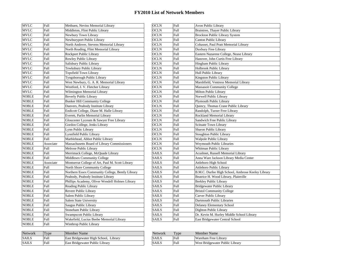| <b>MVLC</b>  | <b>Full</b> | Methuen, Nevins Memorial Library                 | <b>OCLN</b>  | Full        | Avon Public Library                               |
|--------------|-------------|--------------------------------------------------|--------------|-------------|---------------------------------------------------|
| <b>MVLC</b>  | Full        | Middleton, Flint Public Library                  | <b>OCLN</b>  | Full        | Braintree, Thayer Public Library                  |
| <b>MVLC</b>  | <b>Full</b> | Newbury Town Library                             | <b>OCLN</b>  | Full        | <b>Brockton Public Library System</b>             |
| <b>MVLC</b>  | Full        | Newburyport Public Library                       | <b>OCLN</b>  | Full        | Canton Public Library                             |
| <b>MVLC</b>  | Full        | North Andover, Stevens Memorial Library          | <b>OCLN</b>  | Full        | Cohasset, Paul Pratt Memorial Library             |
| <b>MVLC</b>  | Full        | North Reading, Flint Memorial Library            | <b>OCLN</b>  | Full        | Duxbury Free Library                              |
| <b>MVLC</b>  | Full        | Rockport Public Library                          | <b>OCLN</b>  | Full        | Eastern Nazarene College, Nease Library           |
| <b>MVLC</b>  | Full        | Rowley Public Library                            | <b>OCLN</b>  | Full        | Hanover, John Curtis Free Library                 |
| <b>MVLC</b>  | Full        | Salisbury Public Library                         | <b>OCLN</b>  | Full        | Hingham Public Library                            |
| <b>MVLC</b>  | Full        | Tewksbury Public Library                         | <b>OCLN</b>  | Full        | Holbrook Public Library                           |
| <b>MVLC</b>  | Full        | <b>Topsfield Town Library</b>                    | <b>OCLN</b>  | <b>Full</b> | Hull Public Library                               |
| <b>MVLC</b>  | Full        | Tyngsborough Public Library                      | <b>OCLN</b>  | <b>Full</b> | Kingston Public Library                           |
| <b>MVLC</b>  | Full        | West Newbury, G. A. R. Memorial Library          | <b>OCLN</b>  | Full        | Marshfield, Ventress Memorial Library             |
| <b>MVLC</b>  | <b>Full</b> | Westford, J. V. Fletcher Library                 | <b>OCLN</b>  | <b>Full</b> | <b>Massasoit Community College</b>                |
| <b>MVLC</b>  | Full        | Wilmington Memorial Library                      | <b>OCLN</b>  | Full        | Milton Public Library                             |
| <b>NOBLE</b> | Full        | Beverly Public Library                           | <b>OCLN</b>  | <b>Full</b> | Norwell Public Library                            |
| <b>NOBLE</b> | Full        | <b>Bunker Hill Community College</b>             | <b>OCLN</b>  | Full        | Plymouth Public Library                           |
| <b>NOBLE</b> | Full        | Danvers, Peabody Institute Library               | <b>OCLN</b>  | Full        | Quincy, Thomas Crane Public Library               |
| <b>NOBLE</b> | Full        | Endicott College, Diane M. Halle Library         | <b>OCLN</b>  | Full        | Randolph, Turner Free Library                     |
| <b>NOBLE</b> | Full        | Everett, Parlin Memorial Library                 | <b>OCLN</b>  | Full        | Rockland Memorial Library                         |
| <b>NOBLE</b> | Full        | Gloucester Lyceum & Sawyer Free Library          | <b>OCLN</b>  | Full        | Sandwich Free Public Library                      |
| <b>NOBLE</b> | Full        | Gordon College, Jenks Library                    | <b>OCLN</b>  | Full        | <b>Scituate Town Library</b>                      |
| <b>NOBLE</b> | Full        | Lynn Public Library                              | <b>OCLN</b>  | Full        | Sharon Public Library                             |
| <b>NOBLE</b> | Full        | Lynnfield Public Library                         | <b>OCLN</b>  | Full        | <b>Stoughton Public Library</b>                   |
| <b>NOBLE</b> | Full        | Marblehead, Abbot Public Library                 | <b>OCLN</b>  | Full        | Walpole Public Library                            |
| <b>NOBLE</b> | Associate   | Massachusetts Board of Library Commissioners     | <b>OCLN</b>  | Full        | Weymouth Public Libraries                         |
| <b>NOBLE</b> | Full        | Melrose Public Library                           | <b>OCLN</b>  | Full        | Whitman Public Library                            |
| <b>NOBLE</b> | Full        | Merrimack College, McQuade Library               | <b>SAILS</b> | Full        | Acushnet, Russell Memorial Library                |
| <b>NOBLE</b> | Full        | Middlesex Community College                      | <b>SAILS</b> | Full        | Anna Ware Jackson Library Media Center            |
| <b>NOBLE</b> | Associate   | Montserrat College of Art, Paul M. Scott Library | <b>SAILS</b> | Full        | Attleboro High School                             |
| <b>NOBLE</b> | <b>Full</b> | North Shore Community College                    | <b>SAILS</b> | Full        | Attleboro Public Library                          |
| <b>NOBLE</b> | Full        | Northern Essex Community College, Bently Library | <b>SAILS</b> | Full        | B.M.C. Durfee High School, Ambrose Keeley Library |
| <b>NOBLE</b> | Full        | Peabody, Peabody Institute Library               | <b>SAILS</b> | Full        | Beatrice H. Wood Library, Plainville              |
| <b>NOBLE</b> | Full        | Phillips Academy, Oliver Wendell Holmes Library  | <b>SAILS</b> | Full        | Berkley Public Library                            |
| <b>NOBLE</b> | Full        | Reading Public Library                           | <b>SAILS</b> | <b>Full</b> | <b>Bridgewater Public Library</b>                 |
| <b>NOBLE</b> | <b>Full</b> | Revere Public Library                            | <b>SAILS</b> | <b>Full</b> | <b>Bristol Community College</b>                  |
| <b>NOBLE</b> | Full        | Salem Public Library                             | <b>SAILS</b> | <b>Full</b> | Carver Public Library                             |
| <b>NOBLE</b> | Full        | <b>Salem State University</b>                    | <b>SAILS</b> | Full        | Dartmouth Public Libraries                        |
| <b>NOBLE</b> | Full        | Saugus Public Library                            | <b>SAILS</b> | Full        | Delaney Elementary School                         |
| <b>NOBLE</b> | Full        | Stoneham Public Library                          | <b>SAILS</b> | Full        | Dighton Public Library                            |
| <b>NOBLE</b> | <b>Full</b> | <b>Swampscott Public Library</b>                 | <b>SAILS</b> | <b>Full</b> | Dr. Kevin M. Hurley Middle School Library         |
| <b>NOBLE</b> | <b>Full</b> | Wakefield, Lucius Beebe Memorial Library         | <b>SAILS</b> | Full        | East Bridgewater Central School                   |
| <b>NOBLE</b> | <b>Full</b> |                                                  |              |             |                                                   |

| <b>OCLN</b><br>Braintree, Thayer Public Library<br>Full<br><b>Brockton Public Library System</b><br>OCLN<br>Full<br>Full<br>Canton Public Library<br>OCLN<br>Cohasset, Paul Pratt Memorial Library<br>OCLN<br>Full<br><b>Full</b><br>Duxbury Free Library<br>OCLN<br>Eastern Nazarene College, Nease Library<br>OCLN<br>Full<br>Hanover, John Curtis Free Library<br>Full<br>OCLN<br><b>Full</b><br>Hingham Public Library<br>OCLN<br><b>Full</b><br>Holbrook Public Library<br>OCLN<br>OCLN<br>Full<br>Hull Public Library<br>OCLN<br>Full<br>Kingston Public Library<br>Marshfield, Ventress Memorial Library<br>OCLN<br>Full<br>OCLN<br>Full<br>Massasoit Community College<br>OCLN<br>Full<br>Milton Public Library<br>OCLN<br>Full<br>Norwell Public Library<br>OCLN<br>Full<br>Plymouth Public Library<br>OCLN<br>Full<br>Quincy, Thomas Crane Public Library<br>OCLN<br>Full<br>Randolph, Turner Free Library<br>OCLN<br>Full<br>Rockland Memorial Library<br>OCLN<br>Full<br>Sandwich Free Public Library<br>OCLN<br>Full<br>Scituate Town Library<br>OCLN<br>Full<br>Sharon Public Library<br>OCLN<br>Full<br><b>Stoughton Public Library</b><br>Walpole Public Library<br>OCLN<br>Full<br><b>Full</b><br><b>Weymouth Public Libraries</b><br>OCLN<br><b>OCLN</b><br><b>Full</b><br>Whitman Public Library<br>Acushnet, Russell Memorial Library<br>SAILS<br>Full<br>Anna Ware Jackson Library Media Center<br>SAILS<br>Full<br>SAILS<br>Full<br>Attleboro High School<br>SAILS<br>Full<br>Attleboro Public Library<br>B.M.C. Durfee High School, Ambrose Keeley Library<br>SAILS<br>Full<br>Beatrice H. Wood Library, Plainville<br>SAILS<br>Full<br>SAILS<br><b>Full</b><br><b>Berkley Public Library</b><br>SAILS<br>Full<br>Bridgewater Public Library<br>SAILS<br><b>Bristol Community College</b><br>Full<br>SAILS<br>Full<br>Carver Public Library<br>Dartmouth Public Libraries<br>SAILS<br>Full<br>SAILS<br>Full<br>Delaney Elementary School<br>SAILS<br>Full<br>Dighton Public Library<br>Dr. Kevin M. Hurley Middle School Library<br>SAILS<br>Full<br>SAILS<br>Full<br>East Bridgewater Central School | OCLN | Full | Avon Public Library |
|------------------------------------------------------------------------------------------------------------------------------------------------------------------------------------------------------------------------------------------------------------------------------------------------------------------------------------------------------------------------------------------------------------------------------------------------------------------------------------------------------------------------------------------------------------------------------------------------------------------------------------------------------------------------------------------------------------------------------------------------------------------------------------------------------------------------------------------------------------------------------------------------------------------------------------------------------------------------------------------------------------------------------------------------------------------------------------------------------------------------------------------------------------------------------------------------------------------------------------------------------------------------------------------------------------------------------------------------------------------------------------------------------------------------------------------------------------------------------------------------------------------------------------------------------------------------------------------------------------------------------------------------------------------------------------------------------------------------------------------------------------------------------------------------------------------------------------------------------------------------------------------------------------------------------------------------------------------------------------------------------------------------------------------------------------------------------------------------------------------------------|------|------|---------------------|
|                                                                                                                                                                                                                                                                                                                                                                                                                                                                                                                                                                                                                                                                                                                                                                                                                                                                                                                                                                                                                                                                                                                                                                                                                                                                                                                                                                                                                                                                                                                                                                                                                                                                                                                                                                                                                                                                                                                                                                                                                                                                                                                              |      |      |                     |
|                                                                                                                                                                                                                                                                                                                                                                                                                                                                                                                                                                                                                                                                                                                                                                                                                                                                                                                                                                                                                                                                                                                                                                                                                                                                                                                                                                                                                                                                                                                                                                                                                                                                                                                                                                                                                                                                                                                                                                                                                                                                                                                              |      |      |                     |
|                                                                                                                                                                                                                                                                                                                                                                                                                                                                                                                                                                                                                                                                                                                                                                                                                                                                                                                                                                                                                                                                                                                                                                                                                                                                                                                                                                                                                                                                                                                                                                                                                                                                                                                                                                                                                                                                                                                                                                                                                                                                                                                              |      |      |                     |
|                                                                                                                                                                                                                                                                                                                                                                                                                                                                                                                                                                                                                                                                                                                                                                                                                                                                                                                                                                                                                                                                                                                                                                                                                                                                                                                                                                                                                                                                                                                                                                                                                                                                                                                                                                                                                                                                                                                                                                                                                                                                                                                              |      |      |                     |
|                                                                                                                                                                                                                                                                                                                                                                                                                                                                                                                                                                                                                                                                                                                                                                                                                                                                                                                                                                                                                                                                                                                                                                                                                                                                                                                                                                                                                                                                                                                                                                                                                                                                                                                                                                                                                                                                                                                                                                                                                                                                                                                              |      |      |                     |
|                                                                                                                                                                                                                                                                                                                                                                                                                                                                                                                                                                                                                                                                                                                                                                                                                                                                                                                                                                                                                                                                                                                                                                                                                                                                                                                                                                                                                                                                                                                                                                                                                                                                                                                                                                                                                                                                                                                                                                                                                                                                                                                              |      |      |                     |
|                                                                                                                                                                                                                                                                                                                                                                                                                                                                                                                                                                                                                                                                                                                                                                                                                                                                                                                                                                                                                                                                                                                                                                                                                                                                                                                                                                                                                                                                                                                                                                                                                                                                                                                                                                                                                                                                                                                                                                                                                                                                                                                              |      |      |                     |
|                                                                                                                                                                                                                                                                                                                                                                                                                                                                                                                                                                                                                                                                                                                                                                                                                                                                                                                                                                                                                                                                                                                                                                                                                                                                                                                                                                                                                                                                                                                                                                                                                                                                                                                                                                                                                                                                                                                                                                                                                                                                                                                              |      |      |                     |
|                                                                                                                                                                                                                                                                                                                                                                                                                                                                                                                                                                                                                                                                                                                                                                                                                                                                                                                                                                                                                                                                                                                                                                                                                                                                                                                                                                                                                                                                                                                                                                                                                                                                                                                                                                                                                                                                                                                                                                                                                                                                                                                              |      |      |                     |
|                                                                                                                                                                                                                                                                                                                                                                                                                                                                                                                                                                                                                                                                                                                                                                                                                                                                                                                                                                                                                                                                                                                                                                                                                                                                                                                                                                                                                                                                                                                                                                                                                                                                                                                                                                                                                                                                                                                                                                                                                                                                                                                              |      |      |                     |
|                                                                                                                                                                                                                                                                                                                                                                                                                                                                                                                                                                                                                                                                                                                                                                                                                                                                                                                                                                                                                                                                                                                                                                                                                                                                                                                                                                                                                                                                                                                                                                                                                                                                                                                                                                                                                                                                                                                                                                                                                                                                                                                              |      |      |                     |
|                                                                                                                                                                                                                                                                                                                                                                                                                                                                                                                                                                                                                                                                                                                                                                                                                                                                                                                                                                                                                                                                                                                                                                                                                                                                                                                                                                                                                                                                                                                                                                                                                                                                                                                                                                                                                                                                                                                                                                                                                                                                                                                              |      |      |                     |
|                                                                                                                                                                                                                                                                                                                                                                                                                                                                                                                                                                                                                                                                                                                                                                                                                                                                                                                                                                                                                                                                                                                                                                                                                                                                                                                                                                                                                                                                                                                                                                                                                                                                                                                                                                                                                                                                                                                                                                                                                                                                                                                              |      |      |                     |
|                                                                                                                                                                                                                                                                                                                                                                                                                                                                                                                                                                                                                                                                                                                                                                                                                                                                                                                                                                                                                                                                                                                                                                                                                                                                                                                                                                                                                                                                                                                                                                                                                                                                                                                                                                                                                                                                                                                                                                                                                                                                                                                              |      |      |                     |
|                                                                                                                                                                                                                                                                                                                                                                                                                                                                                                                                                                                                                                                                                                                                                                                                                                                                                                                                                                                                                                                                                                                                                                                                                                                                                                                                                                                                                                                                                                                                                                                                                                                                                                                                                                                                                                                                                                                                                                                                                                                                                                                              |      |      |                     |
|                                                                                                                                                                                                                                                                                                                                                                                                                                                                                                                                                                                                                                                                                                                                                                                                                                                                                                                                                                                                                                                                                                                                                                                                                                                                                                                                                                                                                                                                                                                                                                                                                                                                                                                                                                                                                                                                                                                                                                                                                                                                                                                              |      |      |                     |
|                                                                                                                                                                                                                                                                                                                                                                                                                                                                                                                                                                                                                                                                                                                                                                                                                                                                                                                                                                                                                                                                                                                                                                                                                                                                                                                                                                                                                                                                                                                                                                                                                                                                                                                                                                                                                                                                                                                                                                                                                                                                                                                              |      |      |                     |
|                                                                                                                                                                                                                                                                                                                                                                                                                                                                                                                                                                                                                                                                                                                                                                                                                                                                                                                                                                                                                                                                                                                                                                                                                                                                                                                                                                                                                                                                                                                                                                                                                                                                                                                                                                                                                                                                                                                                                                                                                                                                                                                              |      |      |                     |
|                                                                                                                                                                                                                                                                                                                                                                                                                                                                                                                                                                                                                                                                                                                                                                                                                                                                                                                                                                                                                                                                                                                                                                                                                                                                                                                                                                                                                                                                                                                                                                                                                                                                                                                                                                                                                                                                                                                                                                                                                                                                                                                              |      |      |                     |
|                                                                                                                                                                                                                                                                                                                                                                                                                                                                                                                                                                                                                                                                                                                                                                                                                                                                                                                                                                                                                                                                                                                                                                                                                                                                                                                                                                                                                                                                                                                                                                                                                                                                                                                                                                                                                                                                                                                                                                                                                                                                                                                              |      |      |                     |
|                                                                                                                                                                                                                                                                                                                                                                                                                                                                                                                                                                                                                                                                                                                                                                                                                                                                                                                                                                                                                                                                                                                                                                                                                                                                                                                                                                                                                                                                                                                                                                                                                                                                                                                                                                                                                                                                                                                                                                                                                                                                                                                              |      |      |                     |
|                                                                                                                                                                                                                                                                                                                                                                                                                                                                                                                                                                                                                                                                                                                                                                                                                                                                                                                                                                                                                                                                                                                                                                                                                                                                                                                                                                                                                                                                                                                                                                                                                                                                                                                                                                                                                                                                                                                                                                                                                                                                                                                              |      |      |                     |
|                                                                                                                                                                                                                                                                                                                                                                                                                                                                                                                                                                                                                                                                                                                                                                                                                                                                                                                                                                                                                                                                                                                                                                                                                                                                                                                                                                                                                                                                                                                                                                                                                                                                                                                                                                                                                                                                                                                                                                                                                                                                                                                              |      |      |                     |
|                                                                                                                                                                                                                                                                                                                                                                                                                                                                                                                                                                                                                                                                                                                                                                                                                                                                                                                                                                                                                                                                                                                                                                                                                                                                                                                                                                                                                                                                                                                                                                                                                                                                                                                                                                                                                                                                                                                                                                                                                                                                                                                              |      |      |                     |
|                                                                                                                                                                                                                                                                                                                                                                                                                                                                                                                                                                                                                                                                                                                                                                                                                                                                                                                                                                                                                                                                                                                                                                                                                                                                                                                                                                                                                                                                                                                                                                                                                                                                                                                                                                                                                                                                                                                                                                                                                                                                                                                              |      |      |                     |
|                                                                                                                                                                                                                                                                                                                                                                                                                                                                                                                                                                                                                                                                                                                                                                                                                                                                                                                                                                                                                                                                                                                                                                                                                                                                                                                                                                                                                                                                                                                                                                                                                                                                                                                                                                                                                                                                                                                                                                                                                                                                                                                              |      |      |                     |
|                                                                                                                                                                                                                                                                                                                                                                                                                                                                                                                                                                                                                                                                                                                                                                                                                                                                                                                                                                                                                                                                                                                                                                                                                                                                                                                                                                                                                                                                                                                                                                                                                                                                                                                                                                                                                                                                                                                                                                                                                                                                                                                              |      |      |                     |
|                                                                                                                                                                                                                                                                                                                                                                                                                                                                                                                                                                                                                                                                                                                                                                                                                                                                                                                                                                                                                                                                                                                                                                                                                                                                                                                                                                                                                                                                                                                                                                                                                                                                                                                                                                                                                                                                                                                                                                                                                                                                                                                              |      |      |                     |
|                                                                                                                                                                                                                                                                                                                                                                                                                                                                                                                                                                                                                                                                                                                                                                                                                                                                                                                                                                                                                                                                                                                                                                                                                                                                                                                                                                                                                                                                                                                                                                                                                                                                                                                                                                                                                                                                                                                                                                                                                                                                                                                              |      |      |                     |
|                                                                                                                                                                                                                                                                                                                                                                                                                                                                                                                                                                                                                                                                                                                                                                                                                                                                                                                                                                                                                                                                                                                                                                                                                                                                                                                                                                                                                                                                                                                                                                                                                                                                                                                                                                                                                                                                                                                                                                                                                                                                                                                              |      |      |                     |
|                                                                                                                                                                                                                                                                                                                                                                                                                                                                                                                                                                                                                                                                                                                                                                                                                                                                                                                                                                                                                                                                                                                                                                                                                                                                                                                                                                                                                                                                                                                                                                                                                                                                                                                                                                                                                                                                                                                                                                                                                                                                                                                              |      |      |                     |
|                                                                                                                                                                                                                                                                                                                                                                                                                                                                                                                                                                                                                                                                                                                                                                                                                                                                                                                                                                                                                                                                                                                                                                                                                                                                                                                                                                                                                                                                                                                                                                                                                                                                                                                                                                                                                                                                                                                                                                                                                                                                                                                              |      |      |                     |
|                                                                                                                                                                                                                                                                                                                                                                                                                                                                                                                                                                                                                                                                                                                                                                                                                                                                                                                                                                                                                                                                                                                                                                                                                                                                                                                                                                                                                                                                                                                                                                                                                                                                                                                                                                                                                                                                                                                                                                                                                                                                                                                              |      |      |                     |
|                                                                                                                                                                                                                                                                                                                                                                                                                                                                                                                                                                                                                                                                                                                                                                                                                                                                                                                                                                                                                                                                                                                                                                                                                                                                                                                                                                                                                                                                                                                                                                                                                                                                                                                                                                                                                                                                                                                                                                                                                                                                                                                              |      |      |                     |
|                                                                                                                                                                                                                                                                                                                                                                                                                                                                                                                                                                                                                                                                                                                                                                                                                                                                                                                                                                                                                                                                                                                                                                                                                                                                                                                                                                                                                                                                                                                                                                                                                                                                                                                                                                                                                                                                                                                                                                                                                                                                                                                              |      |      |                     |
|                                                                                                                                                                                                                                                                                                                                                                                                                                                                                                                                                                                                                                                                                                                                                                                                                                                                                                                                                                                                                                                                                                                                                                                                                                                                                                                                                                                                                                                                                                                                                                                                                                                                                                                                                                                                                                                                                                                                                                                                                                                                                                                              |      |      |                     |
|                                                                                                                                                                                                                                                                                                                                                                                                                                                                                                                                                                                                                                                                                                                                                                                                                                                                                                                                                                                                                                                                                                                                                                                                                                                                                                                                                                                                                                                                                                                                                                                                                                                                                                                                                                                                                                                                                                                                                                                                                                                                                                                              |      |      |                     |
|                                                                                                                                                                                                                                                                                                                                                                                                                                                                                                                                                                                                                                                                                                                                                                                                                                                                                                                                                                                                                                                                                                                                                                                                                                                                                                                                                                                                                                                                                                                                                                                                                                                                                                                                                                                                                                                                                                                                                                                                                                                                                                                              |      |      |                     |
|                                                                                                                                                                                                                                                                                                                                                                                                                                                                                                                                                                                                                                                                                                                                                                                                                                                                                                                                                                                                                                                                                                                                                                                                                                                                                                                                                                                                                                                                                                                                                                                                                                                                                                                                                                                                                                                                                                                                                                                                                                                                                                                              |      |      |                     |
|                                                                                                                                                                                                                                                                                                                                                                                                                                                                                                                                                                                                                                                                                                                                                                                                                                                                                                                                                                                                                                                                                                                                                                                                                                                                                                                                                                                                                                                                                                                                                                                                                                                                                                                                                                                                                                                                                                                                                                                                                                                                                                                              |      |      |                     |
|                                                                                                                                                                                                                                                                                                                                                                                                                                                                                                                                                                                                                                                                                                                                                                                                                                                                                                                                                                                                                                                                                                                                                                                                                                                                                                                                                                                                                                                                                                                                                                                                                                                                                                                                                                                                                                                                                                                                                                                                                                                                                                                              |      |      |                     |

| Network      | $T$ $Vpe$ | Member Name                           | Network      | T <sub>Y</sub> | Member Name                     |
|--------------|-----------|---------------------------------------|--------------|----------------|---------------------------------|
| <b>SAILS</b> | Full      | East Bridgewater High School, Library | <b>SAILS</b> | Full           | Wareham Free Library            |
| <b>SAILS</b> | Full      | East Bridgewater Public Library       | <b>SAILS</b> | Full           | West Bridgewater Public Library |

| <b>Network</b> | Type | Member Name                     |
|----------------|------|---------------------------------|
| <b>SAILS</b>   | Full | Wareham Free Library            |
| <b>SAILS</b>   | Full | West Bridgewater Public Library |